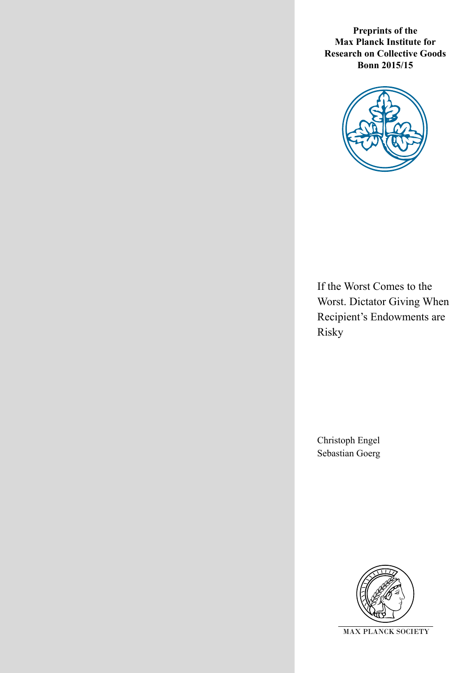**Preprints of the Max Planck Institute for Research on Collective Goods Bonn 2015/15**



If the Worst Comes to the Worst. Dictator Giving When Recipient's Endowments are Risky

Christoph Engel Sebastian Goerg

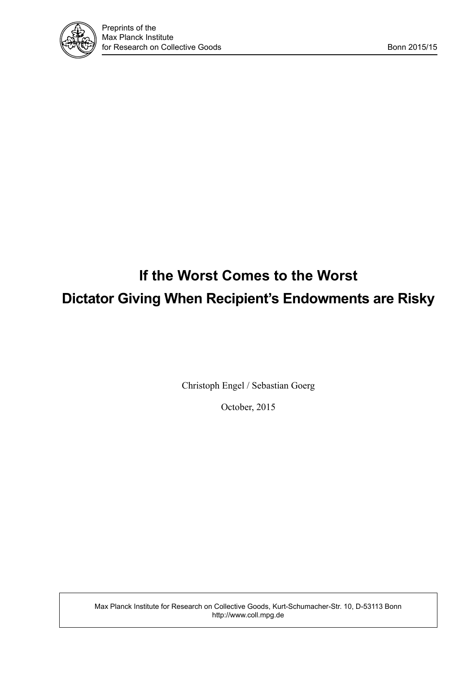

# **If the Worst Comes to the Worst Dictator Giving When Recipient's Endowments are Risky**

Christoph Engel / Sebastian Goerg

October, 2015

Max Planck Institute for Research on Collective Goods, Kurt-Schumacher-Str. 10, D-53113 Bonn http://www.coll.mpg.de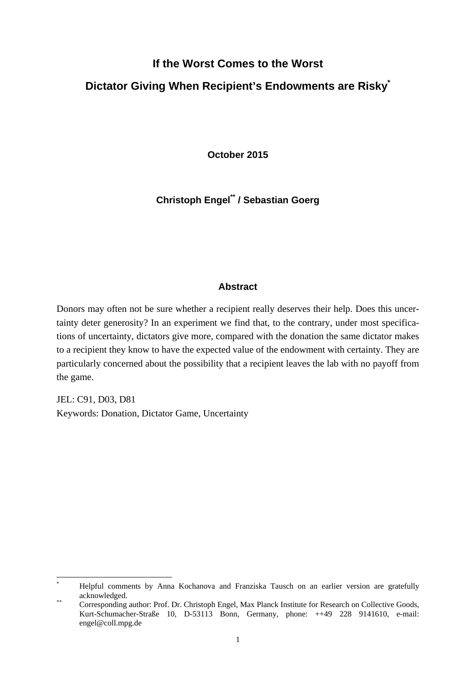# **If the Worst Comes to the Worst**

# **Dictator Giving When Recipient's Endowments are Risky\***

**October 2015** 

**Christoph Engel\*\* / Sebastian Goerg**

### **Abstract**

Donors may often not be sure whether a recipient really deserves their help. Does this uncertainty deter generosity? In an experiment we find that, to the contrary, under most specifications of uncertainty, dictators give more, compared with the donation the same dictator makes to a recipient they know to have the expected value of the endowment with certainty. They are particularly concerned about the possibility that a recipient leaves the lab with no payoff from the game.

JEL: C91, D03, D81 Keywords: Donation, Dictator Game, Uncertainty

<sup>\*</sup> Helpful comments by Anna Kochanova and Franziska Tausch on an earlier version are gratefully acknowledged.<br>
<sup>\*\*</sup> Corresponding author: Prof. Dr. Christoph Engel, Max Planck Institute for Research on Collective Goods,

Kurt-Schumacher-Straße 10, D-53113 Bonn, Germany, phone: ++49 228 9141610, e-mail: engel@coll.mpg.de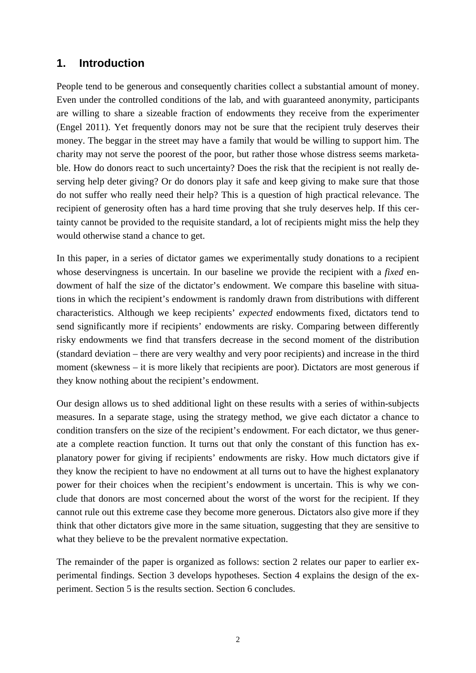# **1. Introduction**

People tend to be generous and consequently charities collect a substantial amount of money. Even under the controlled conditions of the lab, and with guaranteed anonymity, participants are willing to share a sizeable fraction of endowments they receive from the experimenter (Engel 2011). Yet frequently donors may not be sure that the recipient truly deserves their money. The beggar in the street may have a family that would be willing to support him. The charity may not serve the poorest of the poor, but rather those whose distress seems marketable. How do donors react to such uncertainty? Does the risk that the recipient is not really deserving help deter giving? Or do donors play it safe and keep giving to make sure that those do not suffer who really need their help? This is a question of high practical relevance. The recipient of generosity often has a hard time proving that she truly deserves help. If this certainty cannot be provided to the requisite standard, a lot of recipients might miss the help they would otherwise stand a chance to get.

In this paper, in a series of dictator games we experimentally study donations to a recipient whose deservingness is uncertain. In our baseline we provide the recipient with a *fixed* endowment of half the size of the dictator's endowment. We compare this baseline with situations in which the recipient's endowment is randomly drawn from distributions with different characteristics. Although we keep recipients' *expected* endowments fixed, dictators tend to send significantly more if recipients' endowments are risky. Comparing between differently risky endowments we find that transfers decrease in the second moment of the distribution (standard deviation – there are very wealthy and very poor recipients) and increase in the third moment (skewness – it is more likely that recipients are poor). Dictators are most generous if they know nothing about the recipient's endowment.

Our design allows us to shed additional light on these results with a series of within-subjects measures. In a separate stage, using the strategy method, we give each dictator a chance to condition transfers on the size of the recipient's endowment. For each dictator, we thus generate a complete reaction function. It turns out that only the constant of this function has explanatory power for giving if recipients' endowments are risky. How much dictators give if they know the recipient to have no endowment at all turns out to have the highest explanatory power for their choices when the recipient's endowment is uncertain. This is why we conclude that donors are most concerned about the worst of the worst for the recipient. If they cannot rule out this extreme case they become more generous. Dictators also give more if they think that other dictators give more in the same situation, suggesting that they are sensitive to what they believe to be the prevalent normative expectation.

The remainder of the paper is organized as follows: section 2 relates our paper to earlier experimental findings. Section 3 develops hypotheses. Section 4 explains the design of the experiment. Section 5 is the results section. Section 6 concludes.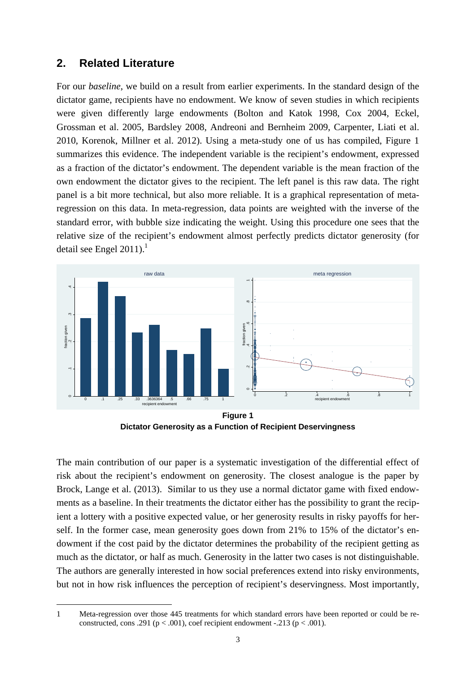# **2. Related Literature**

For our *baseline*, we build on a result from earlier experiments. In the standard design of the dictator game, recipients have no endowment. We know of seven studies in which recipients were given differently large endowments (Bolton and Katok 1998, Cox 2004, Eckel, Grossman et al. 2005, Bardsley 2008, Andreoni and Bernheim 2009, Carpenter, Liati et al. 2010, Korenok, Millner et al. 2012). Using a meta-study one of us has compiled, Figure 1 summarizes this evidence. The independent variable is the recipient's endowment, expressed as a fraction of the dictator's endowment. The dependent variable is the mean fraction of the own endowment the dictator gives to the recipient. The left panel is this raw data. The right panel is a bit more technical, but also more reliable. It is a graphical representation of metaregression on this data. In meta-regression, data points are weighted with the inverse of the standard error, with bubble size indicating the weight. Using this procedure one sees that the relative size of the recipient's endowment almost perfectly predicts dictator generosity (for detail see Engel 2011). $^1$ 



**Dictator Generosity as a Function of Recipient Deservingness** 

The main contribution of our paper is a systematic investigation of the differential effect of risk about the recipient's endowment on generosity. The closest analogue is the paper by Brock, Lange et al. (2013). Similar to us they use a normal dictator game with fixed endowments as a baseline. In their treatments the dictator either has the possibility to grant the recipient a lottery with a positive expected value, or her generosity results in risky payoffs for herself. In the former case, mean generosity goes down from 21% to 15% of the dictator's endowment if the cost paid by the dictator determines the probability of the recipient getting as much as the dictator, or half as much. Generosity in the latter two cases is not distinguishable. The authors are generally interested in how social preferences extend into risky environments, but not in how risk influences the perception of recipient's deservingness. Most importantly,

<sup>1</sup> Meta-regression over those 445 treatments for which standard errors have been reported or could be reconstructed, cons .291 ( $p < .001$ ), coef recipient endowment -.213 ( $p < .001$ ).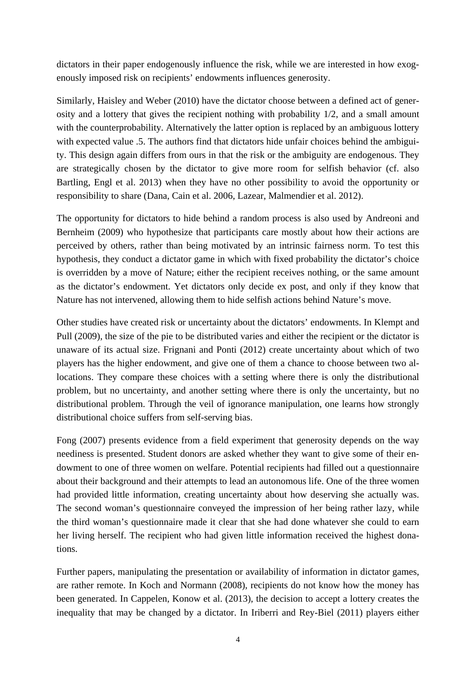dictators in their paper endogenously influence the risk, while we are interested in how exogenously imposed risk on recipients' endowments influences generosity.

Similarly, Haisley and Weber (2010) have the dictator choose between a defined act of generosity and a lottery that gives the recipient nothing with probability 1/2, and a small amount with the counterprobability. Alternatively the latter option is replaced by an ambiguous lottery with expected value .5. The authors find that dictators hide unfair choices behind the ambiguity. This design again differs from ours in that the risk or the ambiguity are endogenous. They are strategically chosen by the dictator to give more room for selfish behavior (cf. also Bartling, Engl et al. 2013) when they have no other possibility to avoid the opportunity or responsibility to share (Dana, Cain et al. 2006, Lazear, Malmendier et al. 2012).

The opportunity for dictators to hide behind a random process is also used by Andreoni and Bernheim (2009) who hypothesize that participants care mostly about how their actions are perceived by others, rather than being motivated by an intrinsic fairness norm. To test this hypothesis, they conduct a dictator game in which with fixed probability the dictator's choice is overridden by a move of Nature; either the recipient receives nothing, or the same amount as the dictator's endowment. Yet dictators only decide ex post, and only if they know that Nature has not intervened, allowing them to hide selfish actions behind Nature's move.

Other studies have created risk or uncertainty about the dictators' endowments. In Klempt and Pull (2009), the size of the pie to be distributed varies and either the recipient or the dictator is unaware of its actual size. Frignani and Ponti (2012) create uncertainty about which of two players has the higher endowment, and give one of them a chance to choose between two allocations. They compare these choices with a setting where there is only the distributional problem, but no uncertainty, and another setting where there is only the uncertainty, but no distributional problem. Through the veil of ignorance manipulation, one learns how strongly distributional choice suffers from self-serving bias.

Fong (2007) presents evidence from a field experiment that generosity depends on the way neediness is presented. Student donors are asked whether they want to give some of their endowment to one of three women on welfare. Potential recipients had filled out a questionnaire about their background and their attempts to lead an autonomous life. One of the three women had provided little information, creating uncertainty about how deserving she actually was. The second woman's questionnaire conveyed the impression of her being rather lazy, while the third woman's questionnaire made it clear that she had done whatever she could to earn her living herself. The recipient who had given little information received the highest donations.

Further papers, manipulating the presentation or availability of information in dictator games, are rather remote. In Koch and Normann (2008), recipients do not know how the money has been generated. In Cappelen, Konow et al. (2013), the decision to accept a lottery creates the inequality that may be changed by a dictator. In Iriberri and Rey-Biel (2011) players either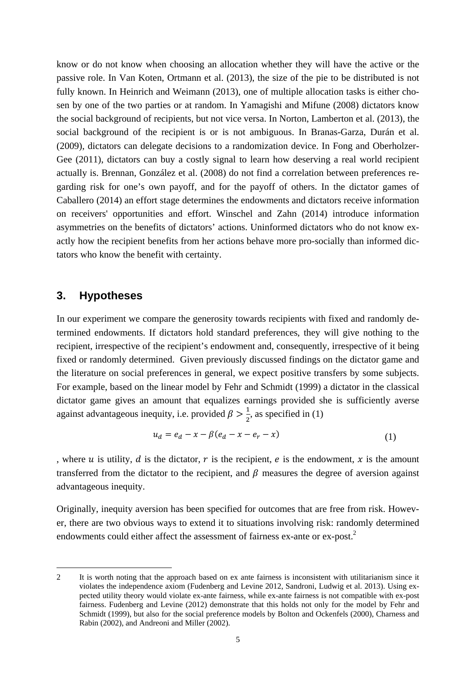know or do not know when choosing an allocation whether they will have the active or the passive role. In Van Koten, Ortmann et al. (2013), the size of the pie to be distributed is not fully known. In Heinrich and Weimann (2013), one of multiple allocation tasks is either chosen by one of the two parties or at random. In Yamagishi and Mifune (2008) dictators know the social background of recipients, but not vice versa. In Norton, Lamberton et al. (2013), the social background of the recipient is or is not ambiguous. In Branas-Garza, Durán et al. (2009), dictators can delegate decisions to a randomization device. In Fong and Oberholzer-Gee (2011), dictators can buy a costly signal to learn how deserving a real world recipient actually is. Brennan, González et al. (2008) do not find a correlation between preferences regarding risk for one's own payoff, and for the payoff of others. In the dictator games of Caballero (2014) an effort stage determines the endowments and dictators receive information on receivers' opportunities and effort. Winschel and Zahn (2014) introduce information asymmetries on the benefits of dictators' actions. Uninformed dictators who do not know exactly how the recipient benefits from her actions behave more pro-socially than informed dictators who know the benefit with certainty.

### **3. Hypotheses**

-

In our experiment we compare the generosity towards recipients with fixed and randomly determined endowments. If dictators hold standard preferences, they will give nothing to the recipient, irrespective of the recipient's endowment and, consequently, irrespective of it being fixed or randomly determined. Given previously discussed findings on the dictator game and the literature on social preferences in general, we expect positive transfers by some subjects. For example, based on the linear model by Fehr and Schmidt (1999) a dictator in the classical dictator game gives an amount that equalizes earnings provided she is sufficiently averse against advantageous inequity, i.e. provided  $\beta > \frac{1}{2}$ , as specified in (1)

$$
u_d = e_d - x - \beta (e_d - x - e_r - x)
$$
 (1)

, where u is utility, d is the dictator, r is the recipient, e is the endowment, x is the amount transferred from the dictator to the recipient, and  $\beta$  measures the degree of aversion against advantageous inequity.

Originally, inequity aversion has been specified for outcomes that are free from risk. However, there are two obvious ways to extend it to situations involving risk: randomly determined endowments could either affect the assessment of fairness ex-ante or ex-post.<sup>2</sup>

<sup>2</sup> It is worth noting that the approach based on ex ante fairness is inconsistent with utilitarianism since it violates the independence axiom (Fudenberg and Levine 2012, Sandroni, Ludwig et al. 2013). Using expected utility theory would violate ex-ante fairness, while ex-ante fairness is not compatible with ex-post fairness. Fudenberg and Levine (2012) demonstrate that this holds not only for the model by Fehr and Schmidt (1999), but also for the social preference models by Bolton and Ockenfels (2000), Charness and Rabin (2002), and Andreoni and Miller (2002).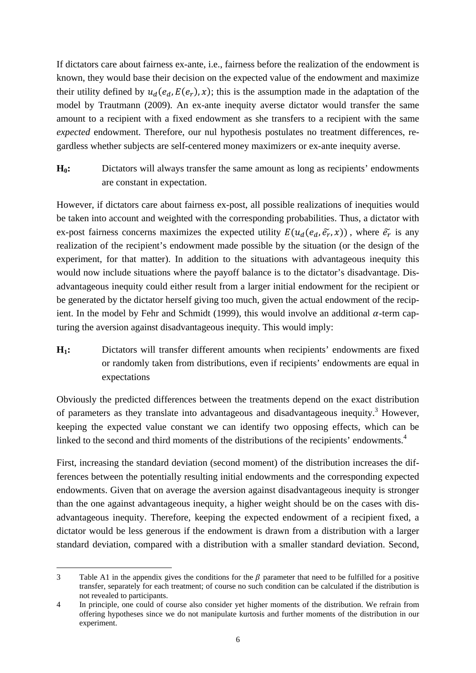If dictators care about fairness ex-ante, i.e., fairness before the realization of the endowment is known, they would base their decision on the expected value of the endowment and maximize their utility defined by  $u_d(e_d, E(e_r), x)$ ; this is the assumption made in the adaptation of the model by Trautmann (2009). An ex-ante inequity averse dictator would transfer the same amount to a recipient with a fixed endowment as she transfers to a recipient with the same *expected* endowment. Therefore, our nul hypothesis postulates no treatment differences, regardless whether subjects are self-centered money maximizers or ex-ante inequity averse.

**H0:** Dictators will always transfer the same amount as long as recipients' endowments are constant in expectation.

However, if dictators care about fairness ex-post, all possible realizations of inequities would be taken into account and weighted with the corresponding probabilities. Thus, a dictator with ex-post fairness concerns maximizes the expected utility  $E(u_d(e_d, \tilde{e_r}, x))$ , where  $\tilde{e_r}$  is any realization of the recipient's endowment made possible by the situation (or the design of the experiment, for that matter). In addition to the situations with advantageous inequity this would now include situations where the payoff balance is to the dictator's disadvantage. Disadvantageous inequity could either result from a larger initial endowment for the recipient or be generated by the dictator herself giving too much, given the actual endowment of the recipient. In the model by Fehr and Schmidt (1999), this would involve an additional  $\alpha$ -term capturing the aversion against disadvantageous inequity. This would imply:

**H1:** Dictators will transfer different amounts when recipients' endowments are fixed or randomly taken from distributions, even if recipients' endowments are equal in expectations

Obviously the predicted differences between the treatments depend on the exact distribution of parameters as they translate into advantageous and disadvantageous inequity.<sup>3</sup> However, keeping the expected value constant we can identify two opposing effects, which can be linked to the second and third moments of the distributions of the recipients' endowments.<sup>4</sup>

First, increasing the standard deviation (second moment) of the distribution increases the differences between the potentially resulting initial endowments and the corresponding expected endowments. Given that on average the aversion against disadvantageous inequity is stronger than the one against advantageous inequity, a higher weight should be on the cases with disadvantageous inequity. Therefore, keeping the expected endowment of a recipient fixed, a dictator would be less generous if the endowment is drawn from a distribution with a larger standard deviation, compared with a distribution with a smaller standard deviation. Second,

<sup>-</sup>3 Table A1 in the appendix gives the conditions for the  $\beta$  parameter that need to be fulfilled for a positive transfer, separately for each treatment; of course no such condition can be calculated if the distribution is not revealed to participants.

<sup>4</sup> In principle, one could of course also consider yet higher moments of the distribution. We refrain from offering hypotheses since we do not manipulate kurtosis and further moments of the distribution in our experiment.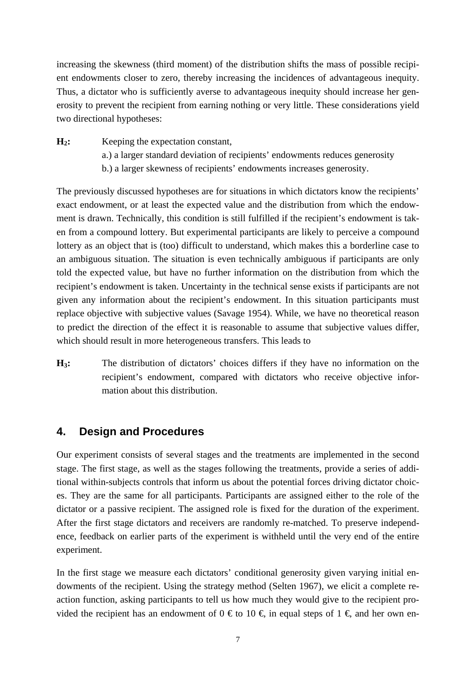increasing the skewness (third moment) of the distribution shifts the mass of possible recipient endowments closer to zero, thereby increasing the incidences of advantageous inequity. Thus, a dictator who is sufficiently averse to advantageous inequity should increase her generosity to prevent the recipient from earning nothing or very little. These considerations yield two directional hypotheses:

**H2:** Keeping the expectation constant, a.) a larger standard deviation of recipients' endowments reduces generosity b.) a larger skewness of recipients' endowments increases generosity.

The previously discussed hypotheses are for situations in which dictators know the recipients' exact endowment, or at least the expected value and the distribution from which the endowment is drawn. Technically, this condition is still fulfilled if the recipient's endowment is taken from a compound lottery. But experimental participants are likely to perceive a compound lottery as an object that is (too) difficult to understand, which makes this a borderline case to an ambiguous situation. The situation is even technically ambiguous if participants are only told the expected value, but have no further information on the distribution from which the recipient's endowment is taken. Uncertainty in the technical sense exists if participants are not given any information about the recipient's endowment. In this situation participants must replace objective with subjective values (Savage 1954). While, we have no theoretical reason to predict the direction of the effect it is reasonable to assume that subjective values differ, which should result in more heterogeneous transfers. This leads to

**H3:** The distribution of dictators' choices differs if they have no information on the recipient's endowment, compared with dictators who receive objective information about this distribution.

### **4. Design and Procedures**

Our experiment consists of several stages and the treatments are implemented in the second stage. The first stage, as well as the stages following the treatments, provide a series of additional within-subjects controls that inform us about the potential forces driving dictator choices. They are the same for all participants. Participants are assigned either to the role of the dictator or a passive recipient. The assigned role is fixed for the duration of the experiment. After the first stage dictators and receivers are randomly re-matched. To preserve independence, feedback on earlier parts of the experiment is withheld until the very end of the entire experiment.

In the first stage we measure each dictators' conditional generosity given varying initial endowments of the recipient. Using the strategy method (Selten 1967), we elicit a complete reaction function, asking participants to tell us how much they would give to the recipient provided the recipient has an endowment of  $0 \in \infty$  10  $\in$ , in equal steps of  $1 \in \mathcal{A}$  and her own en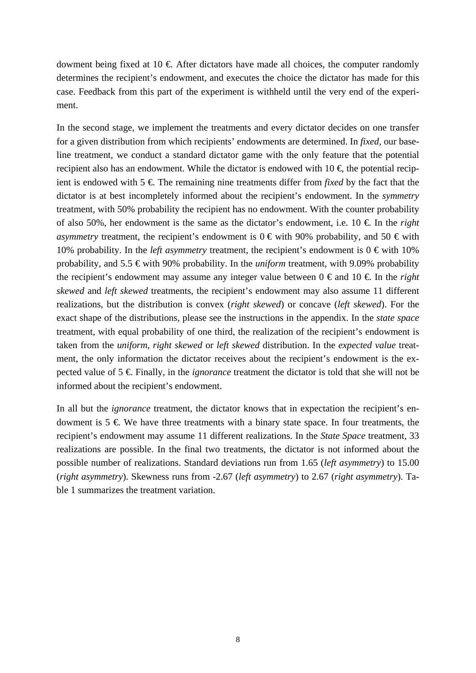dowment being fixed at 10  $\epsilon$  After dictators have made all choices, the computer randomly determines the recipient's endowment, and executes the choice the dictator has made for this case. Feedback from this part of the experiment is withheld until the very end of the experiment.

In the second stage, we implement the treatments and every dictator decides on one transfer for a given distribution from which recipients' endowments are determined. In *fixed,* our baseline treatment, we conduct a standard dictator game with the only feature that the potential recipient also has an endowment. While the dictator is endowed with  $10 \in$  the potential recipient is endowed with  $5 \notin$  The remaining nine treatments differ from *fixed* by the fact that the dictator is at best incompletely informed about the recipient's endowment. In the *symmetry* treatment, with 50% probability the recipient has no endowment. With the counter probability of also 50%, her endowment is the same as the dictator's endowment, i.e.  $10 \text{ } \in \text{ }$  In the *right asymmetry* treatment, the recipient's endowment is  $0 \in \text{with } 90\%$  probability, and  $50 \in \text{with } 100\%$ 10% probability. In the *left asymmetry* treatment, the recipient's endowment is  $0 \in \text{with } 10\%$ probability, and 5.5 € with 90% probability. In the *uniform* treatment, with 9.09% probability the recipient's endowment may assume any integer value between  $0 \in \text{and } 10 \in \text{In the right}$ *skewed* and *left skewed* treatments, the recipient's endowment may also assume 11 different realizations, but the distribution is convex (*right skewed*) or concave (*left skewed*). For the exact shape of the distributions, please see the instructions in the appendix. In the *state space* treatment, with equal probability of one third, the realization of the recipient's endowment is taken from the *uniform*, *right skewed* or *left skewed* distribution. In the *expected value* treatment, the only information the dictator receives about the recipient's endowment is the expected value of  $5 \notin$  Finally, in the *ignorance* treatment the dictator is told that she will not be informed about the recipient's endowment.

In all but the *ignorance* treatment, the dictator knows that in expectation the recipient's endowment is  $5 \notin \mathbb{W}$ e have three treatments with a binary state space. In four treatments, the recipient's endowment may assume 11 different realizations. In the *State Space* treatment, 33 realizations are possible. In the final two treatments, the dictator is not informed about the possible number of realizations. Standard deviations run from 1.65 (*left asymmetry*) to 15.00 (*right asymmetry*). Skewness runs from -2.67 (*left asymmetry*) to 2.67 (*right asymmetry*). Table 1 summarizes the treatment variation.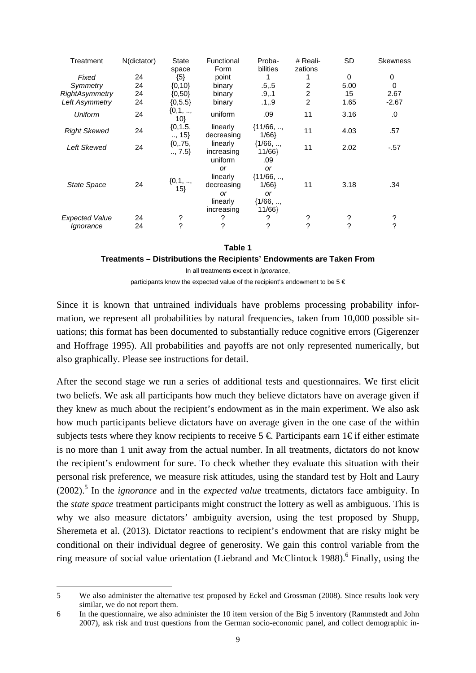| Treatment                          | N(dictator) | <b>State</b><br>space | Functional<br>Form                                   | Proba-<br>bilities                                   | # Reali-<br>zations | <b>SD</b> | <b>Skewness</b> |
|------------------------------------|-------------|-----------------------|------------------------------------------------------|------------------------------------------------------|---------------------|-----------|-----------------|
| Fixed                              | 24          | ${5}$                 | point                                                |                                                      |                     | 0         | 0               |
| Symmetry                           | 24          | $\{0, 10\}$           | binary                                               | .5, .5                                               | 2                   | 5.00      | 0               |
| RightAsymmetry                     | 24          | (0,50)                | binary                                               | .9, .1                                               | $\overline{c}$      | 15        | 2.67            |
| Left Asymmetry                     | 24          | ${0, 5.5}$            | binary                                               | .1, .9                                               | $\overline{2}$      | 1.65      | $-2.67$         |
| <b>Uniform</b>                     | 24          | ${0,1, ,}$<br>10}     | uniform                                              | .09                                                  | 11                  | 3.16      | .0              |
| <b>Right Skewed</b>                | 24          | ${0, 1.5,$<br>, 15    | linearly<br>decreasing                               | ${11/66, ,$<br>1/66                                  | 11                  | 4.03      | .57             |
| <b>Left Skewed</b>                 | 24          | ${0, 75,$<br>, 7.5    | linearly<br>increasing                               | ${1/66, ,$<br>11/66}                                 | 11                  | 2.02      | -.57            |
| <b>State Space</b>                 | 24          | ${0,1, ,}$<br>$15\}$  | uniform<br><b>or</b><br>linearly<br>decreasing<br>or | .09<br><b>or</b><br>$\{11/66, \ldots,$<br>1/66<br>or | 11                  | 3.18      | .34             |
| <b>Expected Value</b><br>lgnorance | 24<br>24    | ?<br>?                | linearly<br>increasing<br>?<br>?                     | ${1/66, ,$<br>11/66}<br>?<br>?                       | ?<br>2              | ?<br>2    | ?<br>?          |
|                                    |             |                       |                                                      |                                                      |                     |           |                 |

#### **Table 1**

**Treatments – Distributions the Recipients' Endowments are Taken From** 

In all treatments except in *ignorance*,

participants know the expected value of the recipient's endowment to be 5 €

Since it is known that untrained individuals have problems processing probability information, we represent all probabilities by natural frequencies, taken from 10,000 possible situations; this format has been documented to substantially reduce cognitive errors (Gigerenzer and Hoffrage 1995). All probabilities and payoffs are not only represented numerically, but also graphically. Please see instructions for detail.

After the second stage we run a series of additional tests and questionnaires. We first elicit two beliefs. We ask all participants how much they believe dictators have on average given if they knew as much about the recipient's endowment as in the main experiment. We also ask how much participants believe dictators have on average given in the one case of the within subjects tests where they know recipients to receive  $5 \in$  Participants earn 1 $\in$  if either estimate is no more than 1 unit away from the actual number. In all treatments, dictators do not know the recipient's endowment for sure. To check whether they evaluate this situation with their personal risk preference, we measure risk attitudes, using the standard test by Holt and Laury (2002).<sup>5</sup> In the *ignorance* and in the *expected value* treatments, dictators face ambiguity. In the *state space* treatment participants might construct the lottery as well as ambiguous. This is why we also measure dictators' ambiguity aversion, using the test proposed by Shupp, Sheremeta et al. (2013). Dictator reactions to recipient's endowment that are risky might be conditional on their individual degree of generosity. We gain this control variable from the ring measure of social value orientation (Liebrand and McClintock 1988).<sup>6</sup> Finally, using the

<sup>5</sup> We also administer the alternative test proposed by Eckel and Grossman (2008). Since results look very similar, we do not report them.

<sup>6</sup> In the questionnaire, we also administer the 10 item version of the Big 5 inventory (Rammstedt and John 2007), ask risk and trust questions from the German socio-economic panel, and collect demographic in-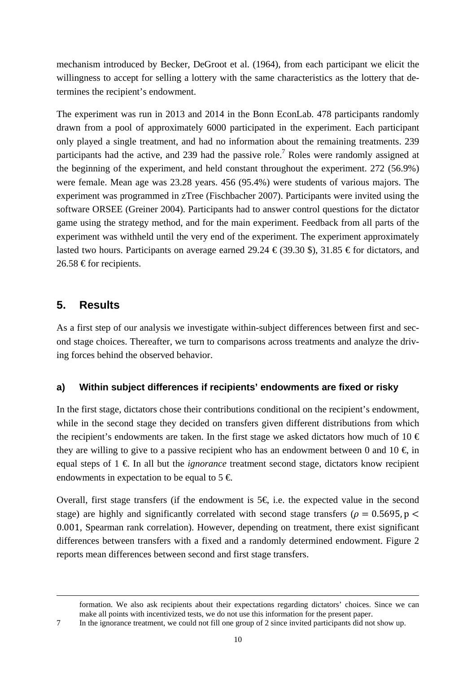mechanism introduced by Becker, DeGroot et al. (1964), from each participant we elicit the willingness to accept for selling a lottery with the same characteristics as the lottery that determines the recipient's endowment.

The experiment was run in 2013 and 2014 in the Bonn EconLab. 478 participants randomly drawn from a pool of approximately 6000 participated in the experiment. Each participant only played a single treatment, and had no information about the remaining treatments. 239 participants had the active, and 239 had the passive role.<sup>7</sup> Roles were randomly assigned at the beginning of the experiment, and held constant throughout the experiment. 272 (56.9%) were female. Mean age was 23.28 years. 456 (95.4%) were students of various majors. The experiment was programmed in zTree (Fischbacher 2007). Participants were invited using the software ORSEE (Greiner 2004). Participants had to answer control questions for the dictator game using the strategy method, and for the main experiment. Feedback from all parts of the experiment was withheld until the very end of the experiment. The experiment approximately lasted two hours. Participants on average earned 29.24  $\epsilon$  (39.30 \$), 31.85  $\epsilon$  for dictators, and 26.58 € for recipients.

# **5. Results**

-

As a first step of our analysis we investigate within-subject differences between first and second stage choices. Thereafter, we turn to comparisons across treatments and analyze the driving forces behind the observed behavior.

### **a) Within subject differences if recipients' endowments are fixed or risky**

In the first stage, dictators chose their contributions conditional on the recipient's endowment, while in the second stage they decided on transfers given different distributions from which the recipient's endowments are taken. In the first stage we asked dictators how much of 10  $\in$ they are willing to give to a passive recipient who has an endowment between 0 and 10  $\in$  in equal steps of  $1 \notin$  In all but the *ignorance* treatment second stage, dictators know recipient endowments in expectation to be equal to  $5 \in \mathbb{C}$ .

Overall, first stage transfers (if the endowment is  $5 \in \mathbb{R}$  i.e. the expected value in the second stage) are highly and significantly correlated with second stage transfers ( $\rho = 0.5695$ , p < 0.001, Spearman rank correlation). However, depending on treatment, there exist significant differences between transfers with a fixed and a randomly determined endowment. Figure 2 reports mean differences between second and first stage transfers.

formation. We also ask recipients about their expectations regarding dictators' choices. Since we can make all points with incentivized tests, we do not use this information for the present paper.

7 In the ignorance treatment, we could not fill one group of 2 since invited participants did not show up.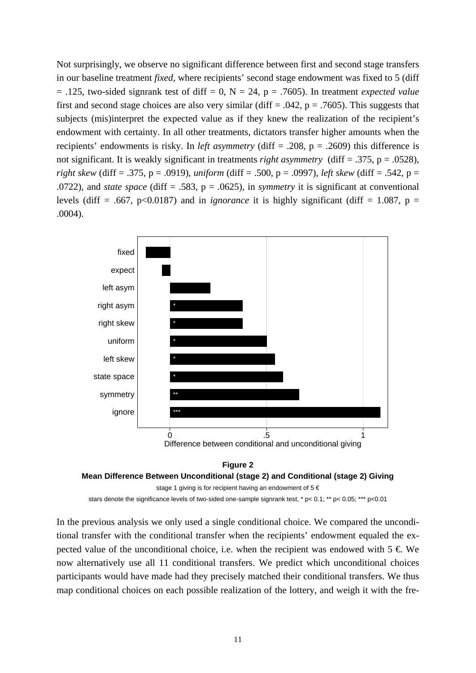Not surprisingly, we observe no significant difference between first and second stage transfers in our baseline treatment *fixed,* where recipients' second stage endowment was fixed to 5 (diff  $= .125$ , two-sided signrank test of diff  $= 0$ ,  $N = 24$ ,  $p = .7605$ ). In treatment *expected value* first and second stage choices are also very similar (diff = .042,  $p = .7605$ ). This suggests that subjects (mis)interpret the expected value as if they knew the realization of the recipient's endowment with certainty. In all other treatments, dictators transfer higher amounts when the recipients' endowments is risky. In *left asymmetry* (diff = .208, p = .2609) this difference is not significant. It is weakly significant in treatments *right asymmetry* (diff = .375, p = .0528), *right skew* (diff = .375, p = .0919), *uniform* (diff = .500, p = .0997)*, left skew* (diff = .542, p = .0722)*,* and *state space* (diff = .583, p = .0625), in *symmetry* it is significant at conventional levels (diff = .667, p<0.0187) and in *ignorance* it is highly significant (diff = 1.087, p = .0004).



#### **Figure 2 Mean Difference Between Unconditional (stage 2) and Conditional (stage 2) Giving**

```
stage 1 giving is for recipient having an endowment of 5 \in
```
stars denote the significance levels of two-sided one-sample signrank test, \* p< 0.1; \*\* p< 0.05; \*\*\* p<0.01

In the previous analysis we only used a single conditional choice. We compared the unconditional transfer with the conditional transfer when the recipients' endowment equaled the expected value of the unconditional choice, i.e. when the recipient was endowed with  $5 \in \mathbb{W}e$ now alternatively use all 11 conditional transfers. We predict which unconditional choices participants would have made had they precisely matched their conditional transfers. We thus map conditional choices on each possible realization of the lottery, and weigh it with the fre-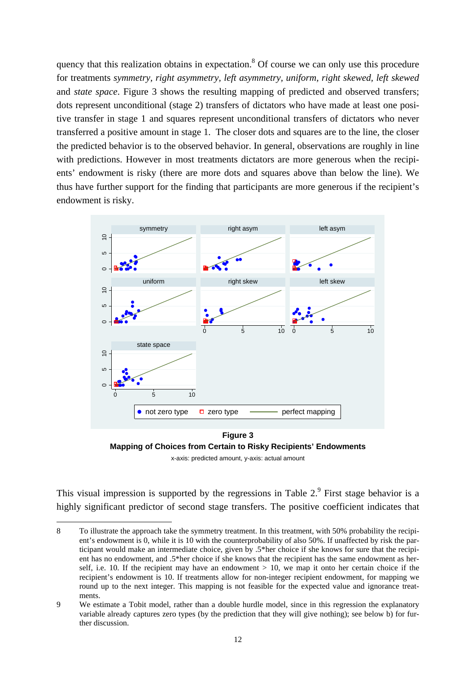quency that this realization obtains in expectation.<sup>8</sup> Of course we can only use this procedure for treatments *symmetry, right asymmetry, left asymmetry, uniform, right skewed, left skewed* and *state space*. Figure 3 shows the resulting mapping of predicted and observed transfers; dots represent unconditional (stage 2) transfers of dictators who have made at least one positive transfer in stage 1 and squares represent unconditional transfers of dictators who never transferred a positive amount in stage 1. The closer dots and squares are to the line, the closer the predicted behavior is to the observed behavior. In general, observations are roughly in line with predictions. However in most treatments dictators are more generous when the recipients' endowment is risky (there are more dots and squares above than below the line). We thus have further support for the finding that participants are more generous if the recipient's endowment is risky.



**Figure 3 Mapping of Choices from Certain to Risky Recipients' Endowments** 

x-axis: predicted amount, y-axis: actual amount

This visual impression is supported by the regressions in Table  $2.9$  First stage behavior is a highly significant predictor of second stage transfers. The positive coefficient indicates that

<sup>8</sup> To illustrate the approach take the symmetry treatment. In this treatment, with 50% probability the recipient's endowment is 0, while it is 10 with the counterprobability of also 50%. If unaffected by risk the participant would make an intermediate choice, given by .5\*her choice if she knows for sure that the recipient has no endowment, and .5\*her choice if she knows that the recipient has the same endowment as herself, i.e. 10. If the recipient may have an endowment  $> 10$ , we map it onto her certain choice if the recipient's endowment is 10. If treatments allow for non-integer recipient endowment, for mapping we round up to the next integer. This mapping is not feasible for the expected value and ignorance treatments.

<sup>9</sup> We estimate a Tobit model, rather than a double hurdle model, since in this regression the explanatory variable already captures zero types (by the prediction that they will give nothing); see below b) for further discussion.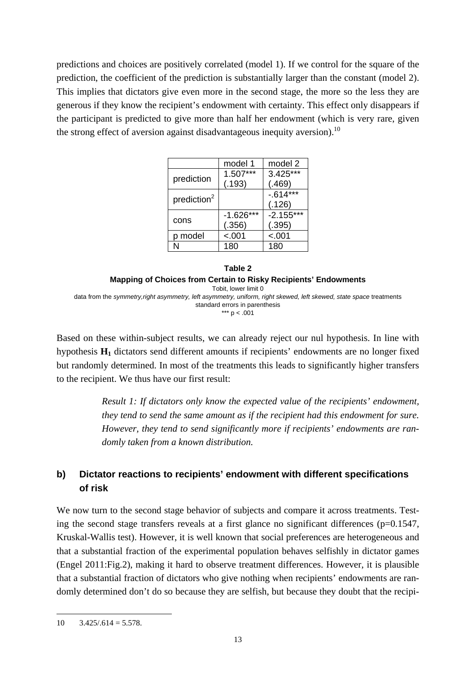predictions and choices are positively correlated (model 1). If we control for the square of the prediction, the coefficient of the prediction is substantially larger than the constant (model 2). This implies that dictators give even more in the second stage, the more so the less they are generous if they know the recipient's endowment with certainty. This effect only disappears if the participant is predicted to give more than half her endowment (which is very rare, given the strong effect of aversion against disadvantageous inequity aversion).<sup>10</sup>

|                         | model 1     | model 2     |
|-------------------------|-------------|-------------|
|                         | $1.507***$  | $3.425***$  |
| prediction              | (.193)      | (.469)      |
| prediction <sup>2</sup> |             | $-614***$   |
|                         |             | (.126)      |
|                         | $-1.626***$ | $-2.155***$ |
| cons                    | (.356)      | (.395)      |
| p model                 | $-.001$     | $-.001$     |
|                         | 180         | 180         |



\*\*\*  $p < .001$ 

Based on these within-subject results, we can already reject our nul hypothesis. In line with hypothesis **H1** dictators send different amounts if recipients' endowments are no longer fixed but randomly determined. In most of the treatments this leads to significantly higher transfers to the recipient. We thus have our first result:

> *Result 1: If dictators only know the expected value of the recipients' endowment, they tend to send the same amount as if the recipient had this endowment for sure. However, they tend to send significantly more if recipients' endowments are randomly taken from a known distribution.*

# **b) Dictator reactions to recipients' endowment with different specifications of risk**

We now turn to the second stage behavior of subjects and compare it across treatments. Testing the second stage transfers reveals at a first glance no significant differences  $(p=0.1547,$ Kruskal-Wallis test). However, it is well known that social preferences are heterogeneous and that a substantial fraction of the experimental population behaves selfishly in dictator games (Engel 2011:Fig.2), making it hard to observe treatment differences. However, it is plausible that a substantial fraction of dictators who give nothing when recipients' endowments are randomly determined don't do so because they are selfish, but because they doubt that the recipi-

 $10 \quad 3.425/0.614 = 5.578.$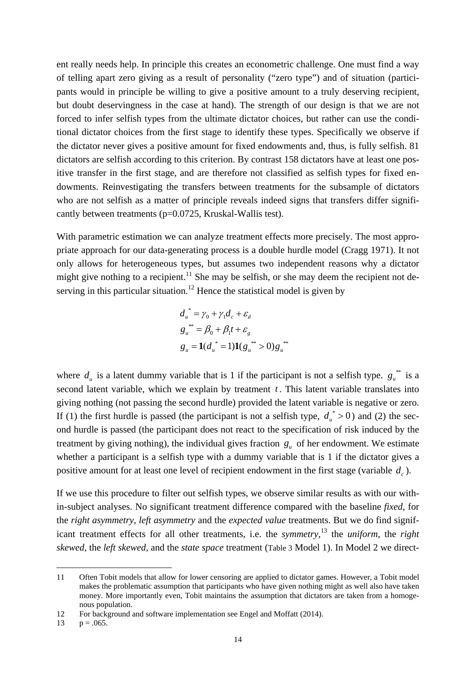ent really needs help. In principle this creates an econometric challenge. One must find a way of telling apart zero giving as a result of personality ("zero type") and of situation (participants would in principle be willing to give a positive amount to a truly deserving recipient, but doubt deservingness in the case at hand). The strength of our design is that we are not forced to infer selfish types from the ultimate dictator choices, but rather can use the conditional dictator choices from the first stage to identify these types. Specifically we observe if the dictator never gives a positive amount for fixed endowments and, thus, is fully selfish. 81 dictators are selfish according to this criterion. By contrast 158 dictators have at least one positive transfer in the first stage, and are therefore not classified as selfish types for fixed endowments. Reinvestigating the transfers between treatments for the subsample of dictators who are not selfish as a matter of principle reveals indeed signs that transfers differ significantly between treatments (p=0.0725, Kruskal-Wallis test).

With parametric estimation we can analyze treatment effects more precisely. The most appropriate approach for our data-generating process is a double hurdle model (Cragg 1971). It not only allows for heterogeneous types, but assumes two independent reasons why a dictator might give nothing to a recipient.<sup>11</sup> She may be selfish, or she may deem the recipient not deserving in this particular situation.<sup>12</sup> Hence the statistical model is given by

$$
d_u^* = \gamma_0 + \gamma_1 d_c + \varepsilon_d
$$
  
\n
$$
g_u^{**} = \beta_0 + \beta_1 t + \varepsilon_g
$$
  
\n
$$
g_u = \mathbf{1}(d_u^* = 1)\mathbf{1}(g_u^{**} > 0)g_u^{**}
$$

where  $d_u$  is a latent dummy variable that is 1 if the participant is not a selfish type.  $g_u^{*}$  is a second latent variable, which we explain by treatment  $t$ . This latent variable translates into giving nothing (not passing the second hurdle) provided the latent variable is negative or zero. If (1) the first hurdle is passed (the participant is not a selfish type,  $d_u^* > 0$ ) and (2) the second hurdle is passed (the participant does not react to the specification of risk induced by the treatment by giving nothing), the individual gives fraction  $g<sub>u</sub>$  of her endowment. We estimate whether a participant is a selfish type with a dummy variable that is 1 if the dictator gives a positive amount for at least one level of recipient endowment in the first stage (variable  $d_c$ ).

If we use this procedure to filter out selfish types, we observe similar results as with our within-subject analyses. No significant treatment difference compared with the baseline *fixed*, for the *right asymmetry*, *left asymmetry* and the *expected value* treatments. But we do find significant treatment effects for all other treatments, i.e. the *symmetry*, 13 the *uniform*, the *right skewed,* the *left skewed,* and the *state space* treatment (Table 3 Model 1). In Model 2 we direct-

<sup>11</sup> Often Tobit models that allow for lower censoring are applied to dictator games. However, a Tobit model makes the problematic assumption that participants who have given nothing might as well also have taken money. More importantly even, Tobit maintains the assumption that dictators are taken from a homogenous population.

<sup>12</sup> For background and software implementation see Engel and Moffatt (2014).

<sup>13</sup>  $p = .065$ .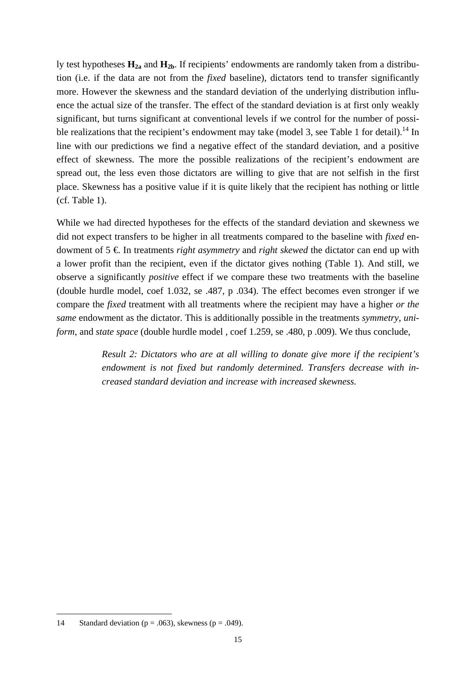ly test hypotheses **H2a** and **H2b**. If recipients' endowments are randomly taken from a distribution (i.e. if the data are not from the *fixed* baseline), dictators tend to transfer significantly more. However the skewness and the standard deviation of the underlying distribution influence the actual size of the transfer. The effect of the standard deviation is at first only weakly significant, but turns significant at conventional levels if we control for the number of possible realizations that the recipient's endowment may take (model 3, see Table 1 for detail).<sup>14</sup> In line with our predictions we find a negative effect of the standard deviation, and a positive effect of skewness. The more the possible realizations of the recipient's endowment are spread out, the less even those dictators are willing to give that are not selfish in the first place. Skewness has a positive value if it is quite likely that the recipient has nothing or little (cf. Table 1).

While we had directed hypotheses for the effects of the standard deviation and skewness we did not expect transfers to be higher in all treatments compared to the baseline with *fixed* endowment of 5 €. In treatments *right asymmetry* and *right skewed* the dictator can end up with a lower profit than the recipient, even if the dictator gives nothing (Table 1). And still, we observe a significantly *positive* effect if we compare these two treatments with the baseline (double hurdle model, coef 1.032, se .487, p .034). The effect becomes even stronger if we compare the *fixed* treatment with all treatments where the recipient may have a higher *or the same* endowment as the dictator. This is additionally possible in the treatments *symmetry*, *uniform*, and *state space* (double hurdle model , coef 1.259, se .480, p .009). We thus conclude,

> *Result 2: Dictators who are at all willing to donate give more if the recipient's endowment is not fixed but randomly determined. Transfers decrease with increased standard deviation and increase with increased skewness.*

<sup>14</sup> Standard deviation ( $p = .063$ ), skewness ( $p = .049$ ).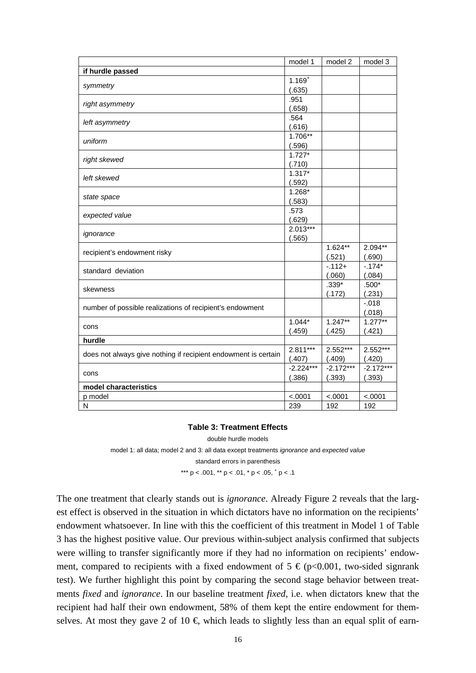|                                                                | model 1     | model 2     | model 3     |
|----------------------------------------------------------------|-------------|-------------|-------------|
| if hurdle passed                                               |             |             |             |
| symmetry                                                       | $1.169^{+}$ |             |             |
|                                                                | (.635)      |             |             |
| right asymmetry                                                | .951        |             |             |
|                                                                | (.658)      |             |             |
| left asymmetry                                                 | .564        |             |             |
|                                                                | (.616)      |             |             |
| uniform                                                        | 1.706**     |             |             |
|                                                                | (.596)      |             |             |
| right skewed                                                   | $1.727*$    |             |             |
|                                                                | (.710)      |             |             |
| left skewed                                                    | $1.317*$    |             |             |
|                                                                | (.592)      |             |             |
| state space                                                    | $1.268*$    |             |             |
|                                                                | (.583)      |             |             |
| expected value                                                 | .573        |             |             |
|                                                                | (.629)      |             |             |
| ignorance                                                      | $2.013***$  |             |             |
|                                                                | (.565)      |             |             |
| recipient's endowment risky                                    |             | $1.624**$   | 2.094**     |
|                                                                |             | (.521)      | (.690)      |
| standard deviation                                             |             | $-112+$     | $-174*$     |
|                                                                |             | (.060)      | (.084)      |
| skewness                                                       |             | $.339*$     | $.500*$     |
|                                                                |             | (.172)      | (.231)      |
| number of possible realizations of recipient's endowment       |             |             | $-.018$     |
|                                                                |             |             | (.018)      |
| cons                                                           | $1.044*$    | $1.247**$   | $1.277**$   |
|                                                                | (.459)      | (.425)      | (.421)      |
| hurdle                                                         |             |             |             |
| does not always give nothing if recipient endowment is certain | 2.811***    | 2.552***    | 2.552***    |
|                                                                | (.407)      | (.409)      | (.420)      |
| cons                                                           | $-2.224***$ | $-2.172***$ | $-2.172***$ |
|                                                                | (.386)      | (.393)      | (.393)      |
| model characteristics                                          |             |             |             |
| p model                                                        | < .0001     | < .0001     | < .0001     |
| N                                                              | 239         | 192         | 192         |

#### **Table 3: Treatment Effects**

double hurdle models

model 1: all data; model 2 and 3: all data except treatments *ignorance* and *expected value* 

standard errors in parenthesis

\*\*\*  $p < .001$ , \*\*  $p < .01$ , \*  $p < .05$ ,  $p < .1$ 

The one treatment that clearly stands out is *ignorance*. Already Figure 2 reveals that the largest effect is observed in the situation in which dictators have no information on the recipients' endowment whatsoever. In line with this the coefficient of this treatment in Model 1 of Table 3 has the highest positive value. Our previous within-subject analysis confirmed that subjects were willing to transfer significantly more if they had no information on recipients' endowment, compared to recipients with a fixed endowment of  $5 \in (p<0.001, wo-sided signrank)$ test). We further highlight this point by comparing the second stage behavior between treatments *fixed* and *ignorance*. In our baseline treatment *fixed,* i.e. when dictators knew that the recipient had half their own endowment, 58% of them kept the entire endowment for themselves. At most they gave 2 of 10  $\epsilon$ , which leads to slightly less than an equal split of earn-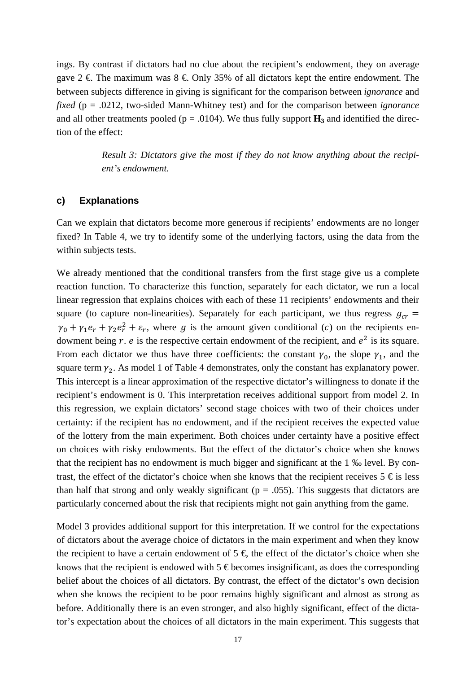ings. By contrast if dictators had no clue about the recipient's endowment, they on average gave  $2 \in \mathbb{R}$ . The maximum was  $8 \in \mathbb{R}$  Only 35% of all dictators kept the entire endowment. The between subjects difference in giving is significant for the comparison between *ignorance* and *fixed* (p = .0212, two-sided Mann-Whitney test) and for the comparison between *ignorance* and all other treatments pooled ( $p = .0104$ ). We thus fully support  $H_3$  and identified the direction of the effect:

> *Result 3: Dictators give the most if they do not know anything about the recipient's endowment.*

#### **c) Explanations**

Can we explain that dictators become more generous if recipients' endowments are no longer fixed? In Table 4, we try to identify some of the underlying factors, using the data from the within subjects tests.

We already mentioned that the conditional transfers from the first stage give us a complete reaction function. To characterize this function, separately for each dictator, we run a local linear regression that explains choices with each of these 11 recipients' endowments and their square (to capture non-linearities). Separately for each participant, we thus regress  $g_{cr}$  =  $\gamma_0 + \gamma_1 e_r + \gamma_2 e_r^2 + \varepsilon_r$ , where g is the amount given conditional (c) on the recipients endowment being  $r$ .  $e$  is the respective certain endowment of the recipient, and  $e<sup>2</sup>$  is its square. From each dictator we thus have three coefficients: the constant  $\gamma_0$ , the slope  $\gamma_1$ , and the square term  $\gamma_2$ . As model 1 of Table 4 demonstrates, only the constant has explanatory power. This intercept is a linear approximation of the respective dictator's willingness to donate if the recipient's endowment is 0. This interpretation receives additional support from model 2. In this regression, we explain dictators' second stage choices with two of their choices under certainty: if the recipient has no endowment, and if the recipient receives the expected value of the lottery from the main experiment. Both choices under certainty have a positive effect on choices with risky endowments. But the effect of the dictator's choice when she knows that the recipient has no endowment is much bigger and significant at the 1 ‰ level. By contrast, the effect of the dictator's choice when she knows that the recipient receives  $5 \text{ } \in$  is less than half that strong and only weakly significant ( $p = .055$ ). This suggests that dictators are particularly concerned about the risk that recipients might not gain anything from the game.

Model 3 provides additional support for this interpretation. If we control for the expectations of dictators about the average choice of dictators in the main experiment and when they know the recipient to have a certain endowment of  $5 \in \mathfrak{f}$  the effect of the dictator's choice when she knows that the recipient is endowed with  $5 \in$  becomes insignificant, as does the corresponding belief about the choices of all dictators. By contrast, the effect of the dictator's own decision when she knows the recipient to be poor remains highly significant and almost as strong as before. Additionally there is an even stronger, and also highly significant, effect of the dictator's expectation about the choices of all dictators in the main experiment. This suggests that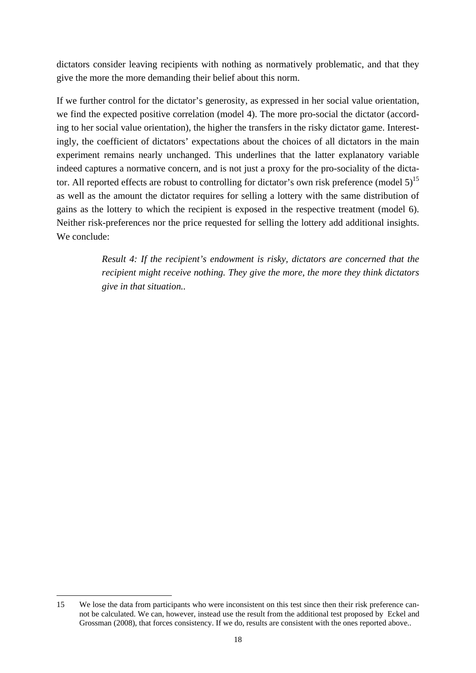dictators consider leaving recipients with nothing as normatively problematic, and that they give the more the more demanding their belief about this norm.

If we further control for the dictator's generosity, as expressed in her social value orientation, we find the expected positive correlation (model 4). The more pro-social the dictator (according to her social value orientation), the higher the transfers in the risky dictator game. Interestingly, the coefficient of dictators' expectations about the choices of all dictators in the main experiment remains nearly unchanged. This underlines that the latter explanatory variable indeed captures a normative concern, and is not just a proxy for the pro-sociality of the dictator. All reported effects are robust to controlling for dictator's own risk preference (model  $5$ )<sup>15</sup> as well as the amount the dictator requires for selling a lottery with the same distribution of gains as the lottery to which the recipient is exposed in the respective treatment (model 6). Neither risk-preferences nor the price requested for selling the lottery add additional insights. We conclude:

> *Result 4: If the recipient's endowment is risky, dictators are concerned that the recipient might receive nothing. They give the more, the more they think dictators give in that situation..*

<sup>15</sup> We lose the data from participants who were inconsistent on this test since then their risk preference cannot be calculated. We can, however, instead use the result from the additional test proposed by Eckel and Grossman (2008), that forces consistency. If we do, results are consistent with the ones reported above..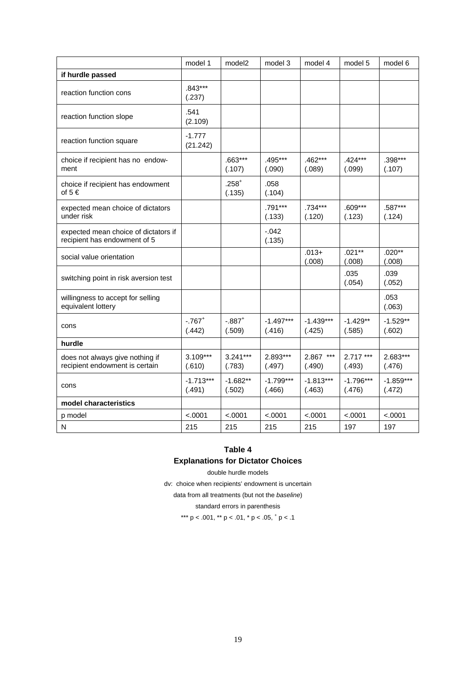|                                                                      | model 1                        | model <sub>2</sub>             | model 3               | model 4               | model 5               | model 6               |
|----------------------------------------------------------------------|--------------------------------|--------------------------------|-----------------------|-----------------------|-----------------------|-----------------------|
| if hurdle passed                                                     |                                |                                |                       |                       |                       |                       |
| reaction function cons                                               | $.843***$<br>(.237)            |                                |                       |                       |                       |                       |
| reaction function slope                                              | .541<br>(2.109)                |                                |                       |                       |                       |                       |
| reaction function square                                             | $-1.777$<br>(21.242)           |                                |                       |                       |                       |                       |
| choice if recipient has no endow-<br>ment                            |                                | .663***<br>(.107)              | .495***<br>(.090)     | .462***<br>(.089)     | .424***<br>(.099)     | .398***<br>(.107)     |
| choice if recipient has endowment<br>of $5 \in$                      |                                | $.258+$<br>(.135)              | .058<br>(.104)        |                       |                       |                       |
| expected mean choice of dictators<br>under risk                      |                                |                                | .791***<br>(.133)     | .734***<br>(.120)     | $.609***$<br>(.123)   | .587***<br>(.124)     |
| expected mean choice of dictators if<br>recipient has endowment of 5 |                                |                                | $-0.042$<br>(.135)    |                       |                       |                       |
| social value orientation                                             |                                |                                |                       | $.013+$<br>(.008)     | $.021**$<br>(.008)    | $.020**$<br>(.008)    |
| switching point in risk aversion test                                |                                |                                |                       |                       | .035<br>(.054)        | .039<br>(.052)        |
| willingness to accept for selling<br>equivalent lottery              |                                |                                |                       |                       |                       | .053<br>(.063)        |
| cons                                                                 | $-.767$ <sup>+</sup><br>(.442) | $-.887$ <sup>+</sup><br>(.509) | $-1.497***$<br>(.416) | $-1.439***$<br>(.425) | $-1.429**$<br>(.585)  | $-1.529**$<br>(.602)  |
| hurdle                                                               |                                |                                |                       |                       |                       |                       |
| does not always give nothing if<br>recipient endowment is certain    | $3.109***$<br>(.610)           | $3.241***$<br>(.783)           | 2.893***<br>(.497)    | 2.867 ***<br>(.490)   | $2.717***$<br>(.493)  | 2.683***<br>(.476)    |
| cons                                                                 | $-1.713***$<br>(.491)          | $-1.682**$<br>(.502)           | $-1.799***$<br>(.466) | $-1.813***$<br>(.463) | $-1.796***$<br>(.476) | $-1.859***$<br>(.472) |
| model characteristics                                                |                                |                                |                       |                       |                       |                       |
| p model                                                              | < .0001                        | < .0001                        | < .0001               | < .0001               | < .0001               | < .0001               |
| N                                                                    | 215                            | 215                            | 215                   | 215                   | 197                   | 197                   |

#### **Table 4**

#### **Explanations for Dictator Choices**

double hurdle models

dv: choice when recipients' endowment is uncertain

data from all treatments (but not the *baseline*)

standard errors in parenthesis

\*\*\*  $p < .001$ , \*\*  $p < .01$ , \*  $p < .05$ ,  $\frac{1}{p} < .1$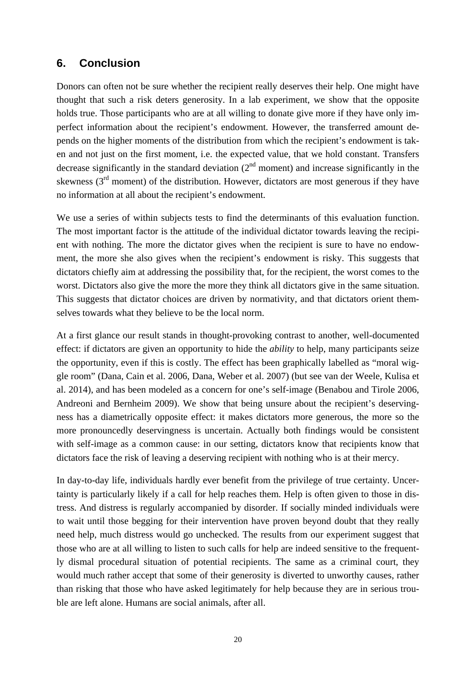# **6. Conclusion**

Donors can often not be sure whether the recipient really deserves their help. One might have thought that such a risk deters generosity. In a lab experiment, we show that the opposite holds true. Those participants who are at all willing to donate give more if they have only imperfect information about the recipient's endowment. However, the transferred amount depends on the higher moments of the distribution from which the recipient's endowment is taken and not just on the first moment, i.e. the expected value, that we hold constant. Transfers decrease significantly in the standard deviation  $(2<sup>nd</sup>$  moment) and increase significantly in the skewness  $(3<sup>rd</sup>$  moment) of the distribution. However, dictators are most generous if they have no information at all about the recipient's endowment.

We use a series of within subjects tests to find the determinants of this evaluation function. The most important factor is the attitude of the individual dictator towards leaving the recipient with nothing. The more the dictator gives when the recipient is sure to have no endowment, the more she also gives when the recipient's endowment is risky. This suggests that dictators chiefly aim at addressing the possibility that, for the recipient, the worst comes to the worst. Dictators also give the more the more they think all dictators give in the same situation. This suggests that dictator choices are driven by normativity, and that dictators orient themselves towards what they believe to be the local norm.

At a first glance our result stands in thought-provoking contrast to another, well-documented effect: if dictators are given an opportunity to hide the *ability* to help, many participants seize the opportunity, even if this is costly. The effect has been graphically labelled as "moral wiggle room" (Dana, Cain et al. 2006, Dana, Weber et al. 2007) (but see van der Weele, Kulisa et al. 2014), and has been modeled as a concern for one's self-image (Benabou and Tirole 2006, Andreoni and Bernheim 2009). We show that being unsure about the recipient's deservingness has a diametrically opposite effect: it makes dictators more generous, the more so the more pronouncedly deservingness is uncertain. Actually both findings would be consistent with self-image as a common cause: in our setting, dictators know that recipients know that dictators face the risk of leaving a deserving recipient with nothing who is at their mercy.

In day-to-day life, individuals hardly ever benefit from the privilege of true certainty. Uncertainty is particularly likely if a call for help reaches them. Help is often given to those in distress. And distress is regularly accompanied by disorder. If socially minded individuals were to wait until those begging for their intervention have proven beyond doubt that they really need help, much distress would go unchecked. The results from our experiment suggest that those who are at all willing to listen to such calls for help are indeed sensitive to the frequently dismal procedural situation of potential recipients. The same as a criminal court, they would much rather accept that some of their generosity is diverted to unworthy causes, rather than risking that those who have asked legitimately for help because they are in serious trouble are left alone. Humans are social animals, after all.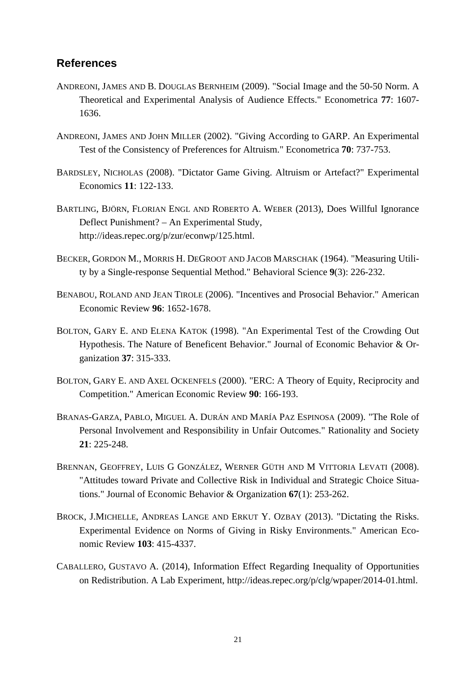### **References**

- ANDREONI, JAMES AND B. DOUGLAS BERNHEIM (2009). "Social Image and the 50-50 Norm. A Theoretical and Experimental Analysis of Audience Effects." Econometrica **77**: 1607- 1636.
- ANDREONI, JAMES AND JOHN MILLER (2002). "Giving According to GARP. An Experimental Test of the Consistency of Preferences for Altruism." Econometrica **70**: 737-753.
- BARDSLEY, NICHOLAS (2008). "Dictator Game Giving. Altruism or Artefact?" Experimental Economics **11**: 122-133.
- BARTLING, BJÖRN, FLORIAN ENGL AND ROBERTO A. WEBER (2013), Does Willful Ignorance Deflect Punishment? – An Experimental Study, http://ideas.repec.org/p/zur/econwp/125.html.
- BECKER, GORDON M., MORRIS H. DEGROOT AND JACOB MARSCHAK (1964). "Measuring Utility by a Single-response Sequential Method." Behavioral Science **9**(3): 226-232.
- BENABOU, ROLAND AND JEAN TIROLE (2006). "Incentives and Prosocial Behavior." American Economic Review **96**: 1652-1678.
- BOLTON, GARY E. AND ELENA KATOK (1998). "An Experimental Test of the Crowding Out Hypothesis. The Nature of Beneficent Behavior." Journal of Economic Behavior & Organization **37**: 315-333.
- BOLTON, GARY E. AND AXEL OCKENFELS (2000). "ERC: A Theory of Equity, Reciprocity and Competition." American Economic Review **90**: 166-193.
- BRANAS-GARZA, PABLO, MIGUEL A. DURÁN AND MARÍA PAZ ESPINOSA (2009). "The Role of Personal Involvement and Responsibility in Unfair Outcomes." Rationality and Society **21**: 225-248.
- BRENNAN, GEOFFREY, LUIS G GONZÁLEZ, WERNER GÜTH AND M VITTORIA LEVATI (2008). "Attitudes toward Private and Collective Risk in Individual and Strategic Choice Situations." Journal of Economic Behavior & Organization **67**(1): 253-262.
- BROCK, J.MICHELLE, ANDREAS LANGE AND ERKUT Y. OZBAY (2013). "Dictating the Risks. Experimental Evidence on Norms of Giving in Risky Environments." American Economic Review **103**: 415-4337.
- CABALLERO, GUSTAVO A. (2014), Information Effect Regarding Inequality of Opportunities on Redistribution. A Lab Experiment, http://ideas.repec.org/p/clg/wpaper/2014-01.html.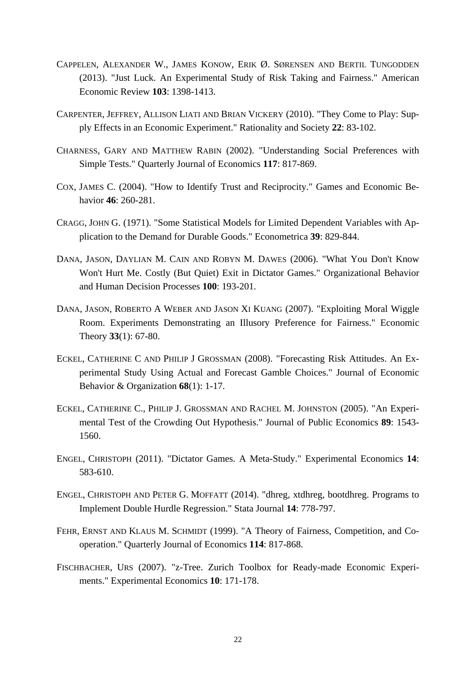- CAPPELEN, ALEXANDER W., JAMES KONOW, ERIK Ø. SØRENSEN AND BERTIL TUNGODDEN (2013). "Just Luck. An Experimental Study of Risk Taking and Fairness." American Economic Review **103**: 1398-1413.
- CARPENTER, JEFFREY, ALLISON LIATI AND BRIAN VICKERY (2010). "They Come to Play: Supply Effects in an Economic Experiment." Rationality and Society **22**: 83-102.
- CHARNESS, GARY AND MATTHEW RABIN (2002). "Understanding Social Preferences with Simple Tests." Quarterly Journal of Economics **117**: 817-869.
- COX, JAMES C. (2004). "How to Identify Trust and Reciprocity." Games and Economic Behavior **46**: 260-281.
- CRAGG, JOHN G. (1971). "Some Statistical Models for Limited Dependent Variables with Application to the Demand for Durable Goods." Econometrica **39**: 829-844.
- DANA, JASON, DAYLIAN M. CAIN AND ROBYN M. DAWES (2006). "What You Don't Know Won't Hurt Me. Costly (But Quiet) Exit in Dictator Games." Organizational Behavior and Human Decision Processes **100**: 193-201.
- DANA, JASON, ROBERTO A WEBER AND JASON XI KUANG (2007). "Exploiting Moral Wiggle Room. Experiments Demonstrating an Illusory Preference for Fairness." Economic Theory **33**(1): 67-80.
- ECKEL, CATHERINE C AND PHILIP J GROSSMAN (2008). "Forecasting Risk Attitudes. An Experimental Study Using Actual and Forecast Gamble Choices." Journal of Economic Behavior & Organization **68**(1): 1-17.
- ECKEL, CATHERINE C., PHILIP J. GROSSMAN AND RACHEL M. JOHNSTON (2005). "An Experimental Test of the Crowding Out Hypothesis." Journal of Public Economics **89**: 1543- 1560.
- ENGEL, CHRISTOPH (2011). "Dictator Games. A Meta-Study." Experimental Economics **14**: 583-610.
- ENGEL, CHRISTOPH AND PETER G. MOFFATT (2014). "dhreg, xtdhreg, bootdhreg. Programs to Implement Double Hurdle Regression." Stata Journal **14**: 778-797.
- FEHR, ERNST AND KLAUS M. SCHMIDT (1999). "A Theory of Fairness, Competition, and Cooperation." Quarterly Journal of Economics **114**: 817-868.
- FISCHBACHER, URS (2007). "z-Tree. Zurich Toolbox for Ready-made Economic Experiments." Experimental Economics **10**: 171-178.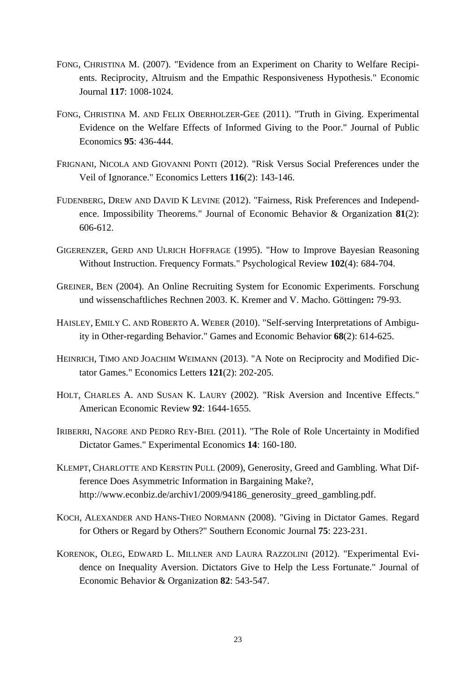- FONG, CHRISTINA M. (2007). "Evidence from an Experiment on Charity to Welfare Recipients. Reciprocity, Altruism and the Empathic Responsiveness Hypothesis." Economic Journal **117**: 1008-1024.
- FONG, CHRISTINA M. AND FELIX OBERHOLZER-GEE (2011). "Truth in Giving. Experimental Evidence on the Welfare Effects of Informed Giving to the Poor." Journal of Public Economics **95**: 436-444.
- FRIGNANI, NICOLA AND GIOVANNI PONTI (2012). "Risk Versus Social Preferences under the Veil of Ignorance." Economics Letters **116**(2): 143-146.
- FUDENBERG, DREW AND DAVID K LEVINE (2012). "Fairness, Risk Preferences and Independence. Impossibility Theorems." Journal of Economic Behavior & Organization **81**(2): 606-612.
- GIGERENZER, GERD AND ULRICH HOFFRAGE (1995). "How to Improve Bayesian Reasoning Without Instruction. Frequency Formats." Psychological Review **102**(4): 684-704.
- GREINER, BEN (2004). An Online Recruiting System for Economic Experiments. Forschung und wissenschaftliches Rechnen 2003. K. Kremer and V. Macho. Göttingen**:** 79-93.
- HAISLEY, EMILY C. AND ROBERTO A. WEBER (2010). "Self-serving Interpretations of Ambiguity in Other-regarding Behavior." Games and Economic Behavior **68**(2): 614-625.
- HEINRICH, TIMO AND JOACHIM WEIMANN (2013). "A Note on Reciprocity and Modified Dictator Games." Economics Letters **121**(2): 202-205.
- HOLT, CHARLES A. AND SUSAN K. LAURY (2002). "Risk Aversion and Incentive Effects." American Economic Review **92**: 1644-1655.
- IRIBERRI, NAGORE AND PEDRO REY-BIEL (2011). "The Role of Role Uncertainty in Modified Dictator Games." Experimental Economics **14**: 160-180.
- KLEMPT, CHARLOTTE AND KERSTIN PULL (2009), Generosity, Greed and Gambling. What Difference Does Asymmetric Information in Bargaining Make?, http://www.econbiz.de/archiv1/2009/94186\_generosity\_greed\_gambling.pdf.
- KOCH, ALEXANDER AND HANS-THEO NORMANN (2008). "Giving in Dictator Games. Regard for Others or Regard by Others?" Southern Economic Journal **75**: 223-231.
- KORENOK, OLEG, EDWARD L. MILLNER AND LAURA RAZZOLINI (2012). "Experimental Evidence on Inequality Aversion. Dictators Give to Help the Less Fortunate." Journal of Economic Behavior & Organization **82**: 543-547.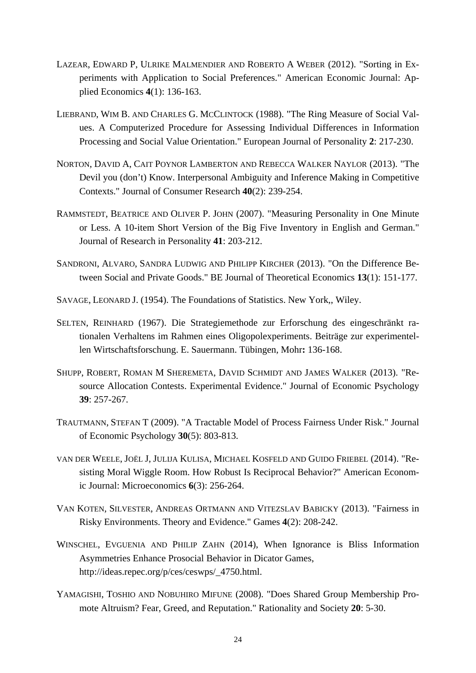- LAZEAR, EDWARD P, ULRIKE MALMENDIER AND ROBERTO A WEBER (2012). "Sorting in Experiments with Application to Social Preferences." American Economic Journal: Applied Economics **4**(1): 136-163.
- LIEBRAND, WIM B. AND CHARLES G. MCCLINTOCK (1988). "The Ring Measure of Social Values. A Computerized Procedure for Assessing Individual Differences in Information Processing and Social Value Orientation." European Journal of Personality **2**: 217-230.
- NORTON, DAVID A, CAIT POYNOR LAMBERTON AND REBECCA WALKER NAYLOR (2013). "The Devil you (don't) Know. Interpersonal Ambiguity and Inference Making in Competitive Contexts." Journal of Consumer Research **40**(2): 239-254.
- RAMMSTEDT, BEATRICE AND OLIVER P. JOHN (2007). "Measuring Personality in One Minute or Less. A 10-item Short Version of the Big Five Inventory in English and German." Journal of Research in Personality **41**: 203-212.
- SANDRONI, ALVARO, SANDRA LUDWIG AND PHILIPP KIRCHER (2013). "On the Difference Between Social and Private Goods." BE Journal of Theoretical Economics **13**(1): 151-177.
- SAVAGE, LEONARD J. (1954). The Foundations of Statistics. New York,, Wiley.
- SELTEN, REINHARD (1967). Die Strategiemethode zur Erforschung des eingeschränkt rationalen Verhaltens im Rahmen eines Oligopolexperiments. Beiträge zur experimentellen Wirtschaftsforschung. E. Sauermann. Tübingen, Mohr**:** 136-168.
- SHUPP, ROBERT, ROMAN M SHEREMETA, DAVID SCHMIDT AND JAMES WALKER (2013). "Resource Allocation Contests. Experimental Evidence." Journal of Economic Psychology **39**: 257-267.
- TRAUTMANN, STEFAN T (2009). "A Tractable Model of Process Fairness Under Risk." Journal of Economic Psychology **30**(5): 803-813.
- VAN DER WEELE, JOËL J, JULIJA KULISA, MICHAEL KOSFELD AND GUIDO FRIEBEL (2014). "Resisting Moral Wiggle Room. How Robust Is Reciprocal Behavior?" American Economic Journal: Microeconomics **6**(3): 256-264.
- VAN KOTEN, SILVESTER, ANDREAS ORTMANN AND VITEZSLAV BABICKY (2013). "Fairness in Risky Environments. Theory and Evidence." Games **4**(2): 208-242.
- WINSCHEL, EVGUENIA AND PHILIP ZAHN (2014), When Ignorance is Bliss Information Asymmetries Enhance Prosocial Behavior in Dicator Games, http://ideas.repec.org/p/ces/ceswps/\_4750.html.
- YAMAGISHI, TOSHIO AND NOBUHIRO MIFUNE (2008). "Does Shared Group Membership Promote Altruism? Fear, Greed, and Reputation." Rationality and Society **20**: 5-30.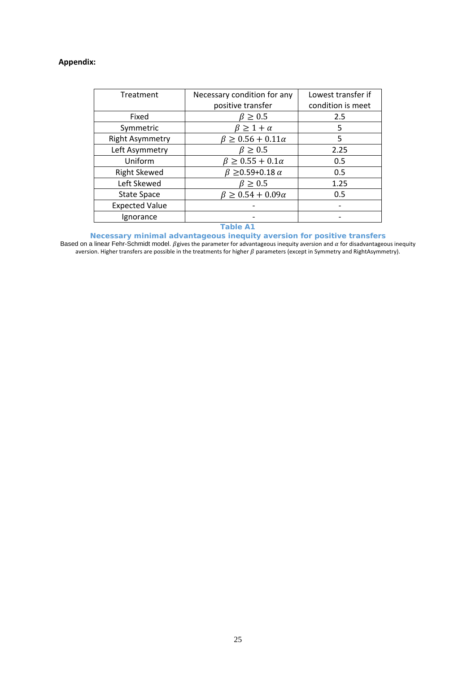#### **Appendix:**

| Treatment              | Necessary condition for any     | Lowest transfer if |  |
|------------------------|---------------------------------|--------------------|--|
|                        | positive transfer               | condition is meet  |  |
| Fixed                  | $\beta \geq 0.5$                | 2.5                |  |
| Symmetric              | $\beta \geq 1 + \alpha$         | 5                  |  |
| <b>Right Asymmetry</b> | $β ≥ 0.56 + 0.11α$              | 5                  |  |
| Left Asymmetry         | $\beta \geq 0.5$                | 2.25               |  |
| Uniform                | $\beta \geq 0.55 + 0.1\alpha$   | 0.5                |  |
| <b>Right Skewed</b>    | $\beta \geq 0.59 + 0.18 \alpha$ | 0.5                |  |
| Left Skewed            | $\beta \geq 0.5$                | 1.25               |  |
| <b>State Space</b>     | $\beta \geq 0.54 + 0.09\alpha$  | 0.5                |  |
| <b>Expected Value</b>  |                                 |                    |  |
| Ignorance              |                                 |                    |  |
|                        | ___                             |                    |  |

#### **Table A1**

**Necessary minimal advantageous inequity aversion for positive transfers**  Based on a linear Fehr-Schmidt model.  $\beta$ gives the parameter for advantageous inequity aversion and  $\alpha$  for disadvantageous inequity aversion. Higher transfers are possible in the treatments for higher  $\beta$  parameters (except in Symmetry and RightAsymmetry).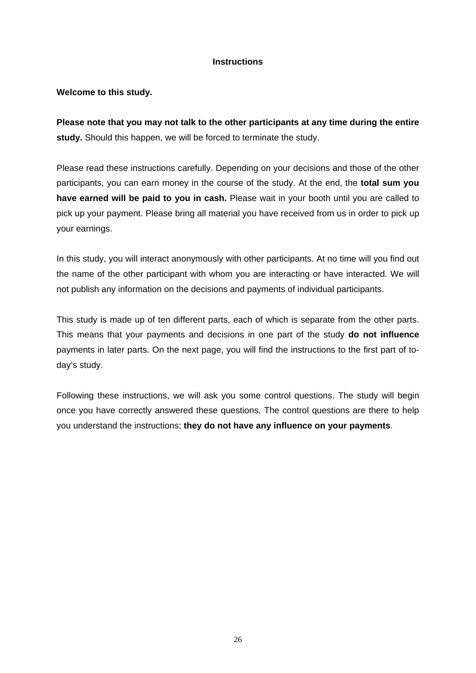#### **Instructions**

#### **Welcome to this study.**

**Please note that you may not talk to the other participants at any time during the entire study.** Should this happen, we will be forced to terminate the study.

Please read these instructions carefully. Depending on your decisions and those of the other participants, you can earn money in the course of the study. At the end, the **total sum you have earned will be paid to you in cash.** Please wait in your booth until you are called to pick up your payment. Please bring all material you have received from us in order to pick up your earnings.

In this study, you will interact anonymously with other participants. At no time will you find out the name of the other participant with whom you are interacting or have interacted. We will not publish any information on the decisions and payments of individual participants.

This study is made up of ten different parts, each of which is separate from the other parts. This means that your payments and decisions in one part of the study **do not influence** payments in later parts. On the next page, you will find the instructions to the first part of today's study.

Following these instructions, we will ask you some control questions. The study will begin once you have correctly answered these questions. The control questions are there to help you understand the instructions; **they do not have any influence on your payments**.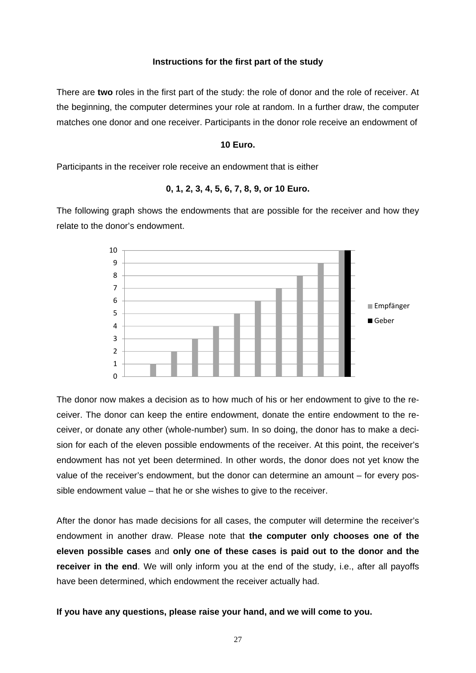#### **Instructions for the first part of the study**

There are **two** roles in the first part of the study: the role of donor and the role of receiver. At the beginning, the computer determines your role at random. In a further draw, the computer matches one donor and one receiver. Participants in the donor role receive an endowment of

#### **10 Euro.**

Participants in the receiver role receive an endowment that is either

#### **0, 1, 2, 3, 4, 5, 6, 7, 8, 9, or 10 Euro.**

The following graph shows the endowments that are possible for the receiver and how they relate to the donor's endowment.



The donor now makes a decision as to how much of his or her endowment to give to the receiver. The donor can keep the entire endowment, donate the entire endowment to the receiver, or donate any other (whole-number) sum. In so doing, the donor has to make a decision for each of the eleven possible endowments of the receiver. At this point, the receiver's endowment has not yet been determined. In other words, the donor does not yet know the value of the receiver's endowment, but the donor can determine an amount – for every possible endowment value – that he or she wishes to give to the receiver.

After the donor has made decisions for all cases, the computer will determine the receiver's endowment in another draw. Please note that **the computer only chooses one of the eleven possible cases** and **only one of these cases is paid out to the donor and the receiver in the end**. We will only inform you at the end of the study, i.e., after all payoffs have been determined, which endowment the receiver actually had.

#### **If you have any questions, please raise your hand, and we will come to you.**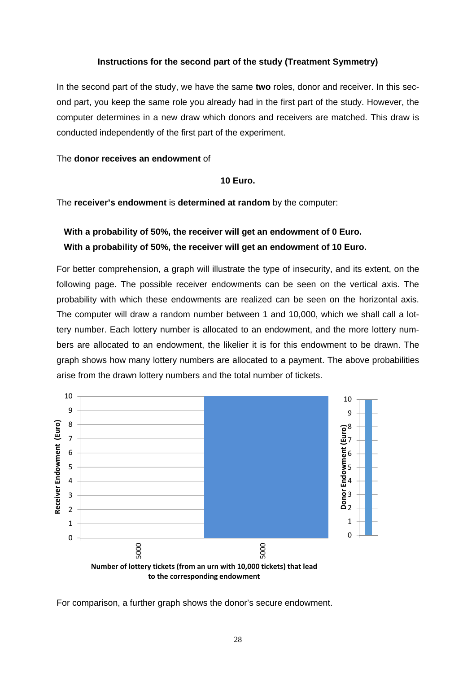#### **Instructions for the second part of the study (Treatment Symmetry)**

In the second part of the study, we have the same **two** roles, donor and receiver. In this second part, you keep the same role you already had in the first part of the study. However, the computer determines in a new draw which donors and receivers are matched. This draw is conducted independently of the first part of the experiment.

#### The **donor receives an endowment** of

#### **10 Euro.**

The **receiver's endowment** is **determined at random** by the computer:

# **With a probability of 50%, the receiver will get an endowment of 0 Euro. With a probability of 50%, the receiver will get an endowment of 10 Euro.**

For better comprehension, a graph will illustrate the type of insecurity, and its extent, on the following page. The possible receiver endowments can be seen on the vertical axis. The probability with which these endowments are realized can be seen on the horizontal axis. The computer will draw a random number between 1 and 10,000, which we shall call a lottery number. Each lottery number is allocated to an endowment, and the more lottery numbers are allocated to an endowment, the likelier it is for this endowment to be drawn. The graph shows how many lottery numbers are allocated to a payment. The above probabilities arise from the drawn lottery numbers and the total number of tickets.



For comparison, a further graph shows the donor's secure endowment.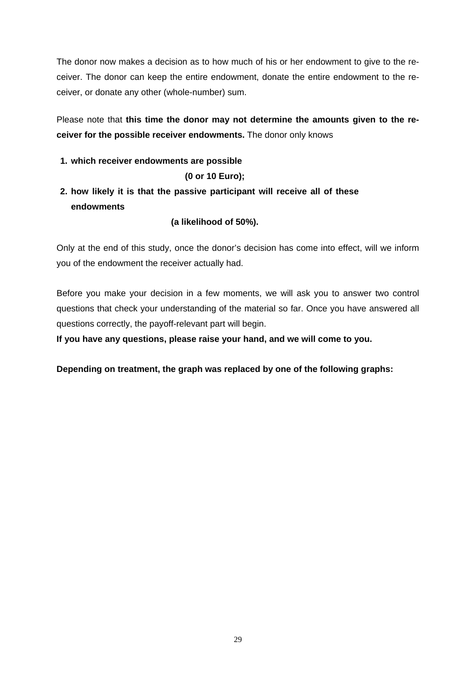The donor now makes a decision as to how much of his or her endowment to give to the receiver. The donor can keep the entire endowment, donate the entire endowment to the receiver, or donate any other (whole-number) sum.

Please note that **this time the donor may not determine the amounts given to the receiver for the possible receiver endowments.** The donor only knows

**1. which receiver endowments are possible**

### **(0 or 10 Euro);**

# **2. how likely it is that the passive participant will receive all of these endowments**

**(a likelihood of 50%).** 

Only at the end of this study, once the donor's decision has come into effect, will we inform you of the endowment the receiver actually had.

Before you make your decision in a few moments, we will ask you to answer two control questions that check your understanding of the material so far. Once you have answered all questions correctly, the payoff-relevant part will begin.

**If you have any questions, please raise your hand, and we will come to you.** 

**Depending on treatment, the graph was replaced by one of the following graphs:**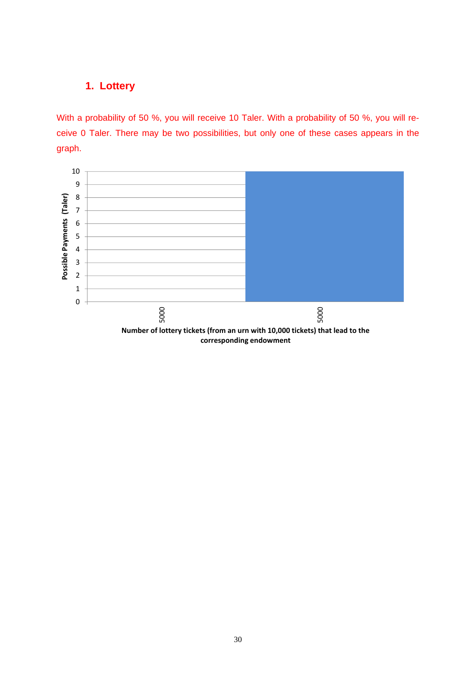With a probability of 50 %, you will receive 10 Taler. With a probability of 50 %, you will receive 0 Taler. There may be two possibilities, but only one of these cases appears in the graph.

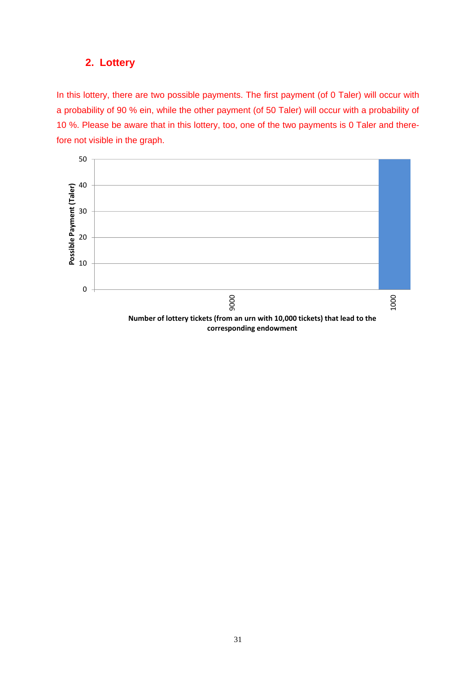In this lottery, there are two possible payments. The first payment (of 0 Taler) will occur with a probability of 90 % ein, while the other payment (of 50 Taler) will occur with a probability of 10 %. Please be aware that in this lottery, too, one of the two payments is 0 Taler and therefore not visible in the graph.

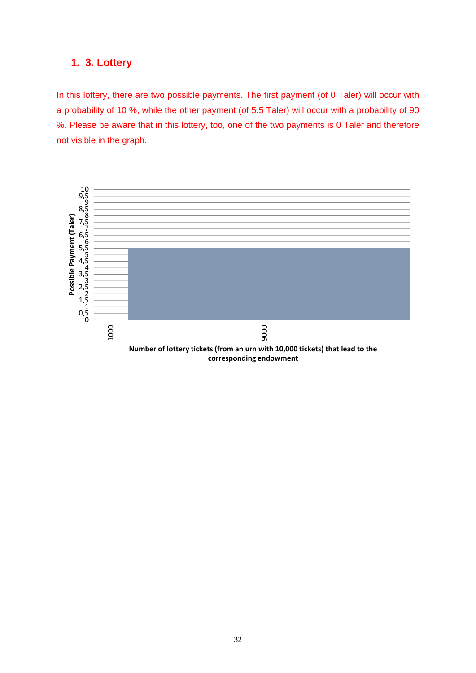### **1. 3. Lottery**

In this lottery, there are two possible payments. The first payment (of 0 Taler) will occur with a probability of 10 %, while the other payment (of 5.5 Taler) will occur with a probability of 90 %. Please be aware that in this lottery, too, one of the two payments is 0 Taler and therefore not visible in the graph.

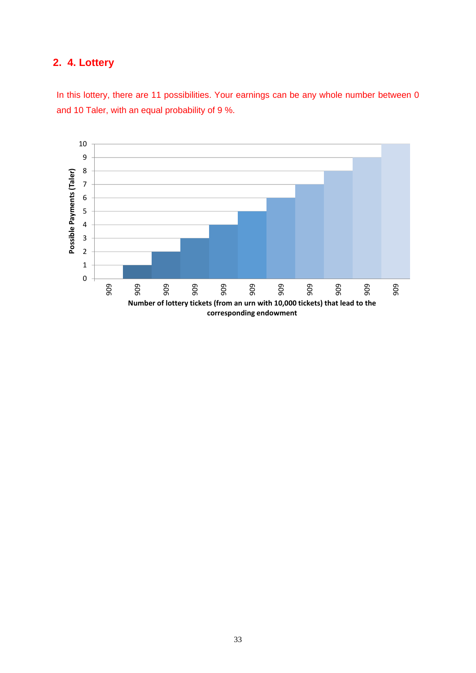# **2. 4. Lottery**

In this lottery, there are 11 possibilities. Your earnings can be any whole number between 0 and 10 Taler, with an equal probability of 9 %.

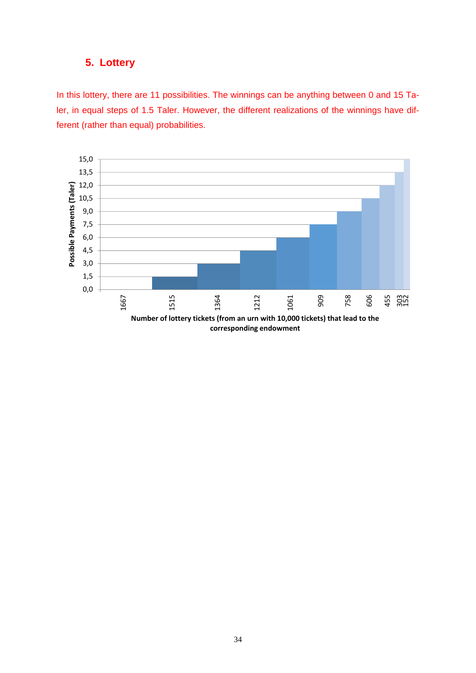In this lottery, there are 11 possibilities. The winnings can be anything between 0 and 15 Taler, in equal steps of 1.5 Taler. However, the different realizations of the winnings have different (rather than equal) probabilities.

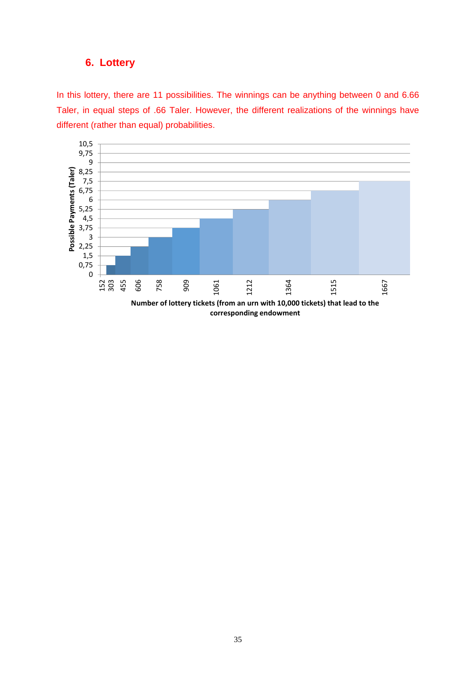In this lottery, there are 11 possibilities. The winnings can be anything between 0 and 6.66 Taler, in equal steps of .66 Taler. However, the different realizations of the winnings have different (rather than equal) probabilities.

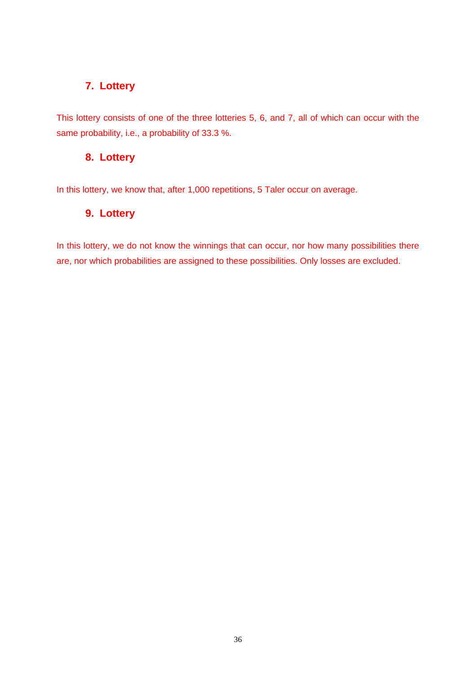This lottery consists of one of the three lotteries 5, 6, and 7, all of which can occur with the same probability, i.e., a probability of 33.3 %.

### **8. Lottery**

In this lottery, we know that, after 1,000 repetitions, 5 Taler occur on average.

### **9. Lottery**

In this lottery, we do not know the winnings that can occur, nor how many possibilities there are, nor which probabilities are assigned to these possibilities. Only losses are excluded.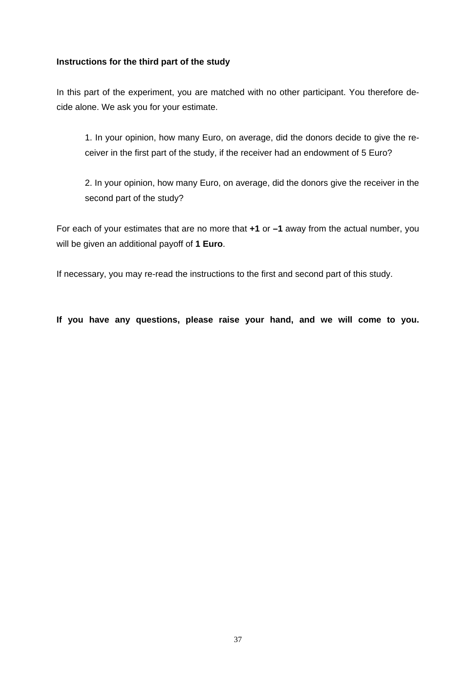#### **Instructions for the third part of the study**

In this part of the experiment, you are matched with no other participant. You therefore decide alone. We ask you for your estimate.

1. In your opinion, how many Euro, on average, did the donors decide to give the receiver in the first part of the study, if the receiver had an endowment of 5 Euro?

2. In your opinion, how many Euro, on average, did the donors give the receiver in the second part of the study?

For each of your estimates that are no more that **+1** or **–1** away from the actual number, you will be given an additional payoff of **1 Euro**.

If necessary, you may re-read the instructions to the first and second part of this study.

**If you have any questions, please raise your hand, and we will come to you.**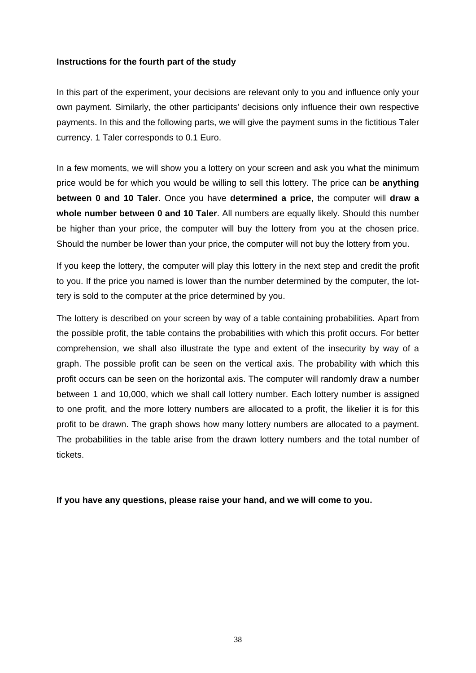#### **Instructions for the fourth part of the study**

In this part of the experiment, your decisions are relevant only to you and influence only your own payment. Similarly, the other participants' decisions only influence their own respective payments. In this and the following parts, we will give the payment sums in the fictitious Taler currency. 1 Taler corresponds to 0.1 Euro.

In a few moments, we will show you a lottery on your screen and ask you what the minimum price would be for which you would be willing to sell this lottery. The price can be **anything between 0 and 10 Taler**. Once you have **determined a price**, the computer will **draw a whole number between 0 and 10 Taler**. All numbers are equally likely. Should this number be higher than your price, the computer will buy the lottery from you at the chosen price. Should the number be lower than your price, the computer will not buy the lottery from you.

If you keep the lottery, the computer will play this lottery in the next step and credit the profit to you. If the price you named is lower than the number determined by the computer, the lottery is sold to the computer at the price determined by you.

The lottery is described on your screen by way of a table containing probabilities. Apart from the possible profit, the table contains the probabilities with which this profit occurs. For better comprehension, we shall also illustrate the type and extent of the insecurity by way of a graph. The possible profit can be seen on the vertical axis. The probability with which this profit occurs can be seen on the horizontal axis. The computer will randomly draw a number between 1 and 10,000, which we shall call lottery number. Each lottery number is assigned to one profit, and the more lottery numbers are allocated to a profit, the likelier it is for this profit to be drawn. The graph shows how many lottery numbers are allocated to a payment. The probabilities in the table arise from the drawn lottery numbers and the total number of tickets.

**If you have any questions, please raise your hand, and we will come to you.**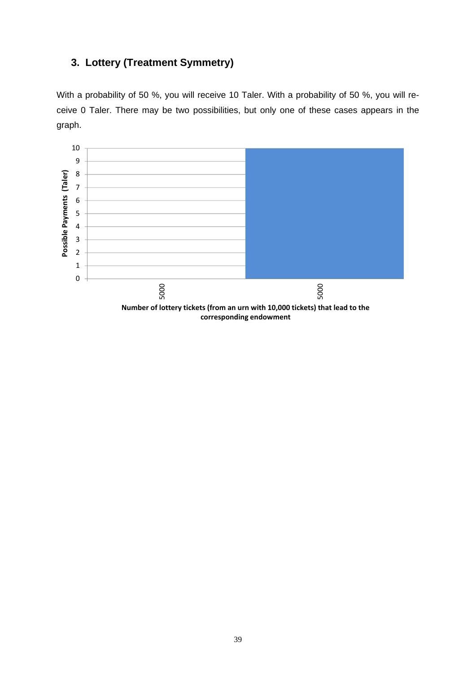# **3. Lottery (Treatment Symmetry)**

With a probability of 50 %, you will receive 10 Taler. With a probability of 50 %, you will receive 0 Taler. There may be two possibilities, but only one of these cases appears in the graph.

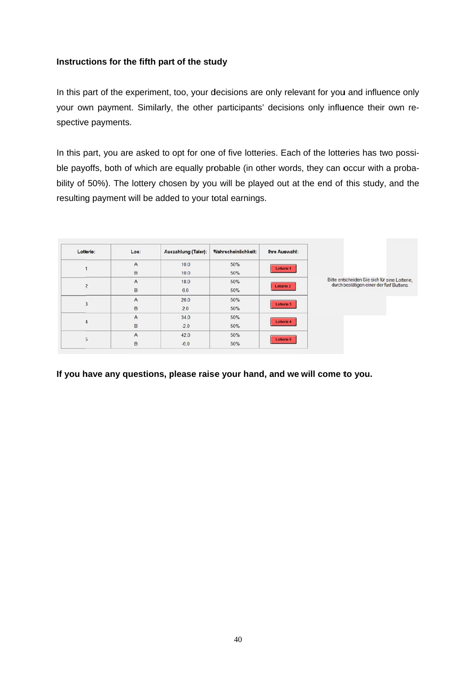#### Instructions for the fifth part of the study

In this part of the experiment, too, your decisions are only relevant for you and influence only your own payment. Similarly, the other participants' decisions only influence their own respective payments.

In this part, you are asked to opt for one of five lotteries. Each of the lotteries has two possible payoffs, both of which are equally probable (in other words, they can occur with a probability of 50%). The lottery chosen by you will be played out at the end of this study, and the resulting payment will be added to your total earnings.

| Lotterie: | Los:           | Auszahlung (Taler): | Wahrscheinlichkeit: | Ihre Auswahl:     |                                                                                           |
|-----------|----------------|---------------------|---------------------|-------------------|-------------------------------------------------------------------------------------------|
|           | A              | 10.0                | 50%                 | Lotterie 1        |                                                                                           |
|           | B              | 10.0                | 50%                 |                   |                                                                                           |
|           | A              | 18.0                | 50%                 |                   | Bitte entscheiden Sie sich für eine Lotterie.<br>durch bestätigen einer der fünf Buttons. |
|           | B              | 6.0                 | 50%                 | <b>Lotterie 2</b> |                                                                                           |
|           | A              | 26.0                | 50%                 |                   |                                                                                           |
|           | B              | 2.0                 | 50%                 | Lotterie 3        |                                                                                           |
|           | $\overline{A}$ | 34.0                | 50%                 |                   |                                                                                           |
|           | B              | $-2.0$              | 50%                 | Lotterie 4        |                                                                                           |
|           | A              | 42.0                | 50%                 |                   |                                                                                           |
|           | B              | $-6.0$              | 50%                 | <b>Lotterie 5</b> |                                                                                           |

If you have any questions, please raise your hand, and we will come to you.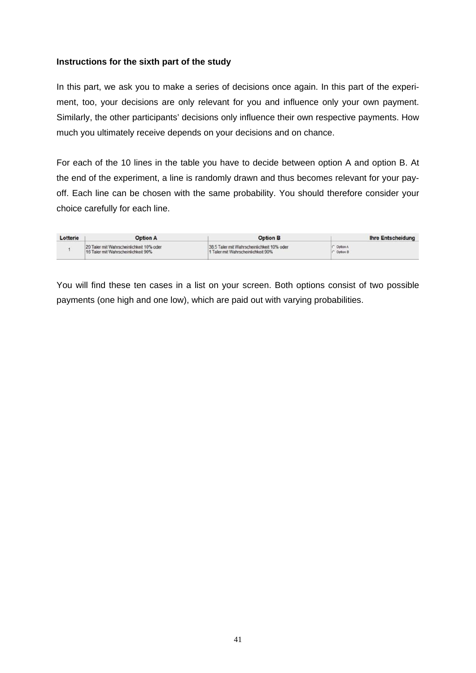#### **Instructions for the sixth part of the study**

In this part, we ask you to make a series of decisions once again. In this part of the experiment, too, your decisions are only relevant for you and influence only your own payment. Similarly, the other participants' decisions only influence their own respective payments. How much you ultimately receive depends on your decisions and on chance.

For each of the 10 lines in the table you have to decide between option A and option B. At the end of the experiment, a line is randomly drawn and thus becomes relevant for your payoff. Each line can be chosen with the same probability. You should therefore consider your choice carefully for each line.

| Lotterie | <b>Option A</b>                          | <b>Option B</b>                            | <b>Ihre Entscheidung</b> |
|----------|------------------------------------------|--------------------------------------------|--------------------------|
|          | 20 Taler mit Wahrscheinlichkeit 10% oder | 38.5 Taler mit Wahrscheinlichkeit 10% oder | C Option A               |
|          | 16 Taler mit Wahrscheinlichkeit 90%      | 1 Taler mit Wahrscheinlichkeit 90%         | $\cap$ Option B          |

You will find these ten cases in a list on your screen. Both options consist of two possible payments (one high and one low), which are paid out with varying probabilities.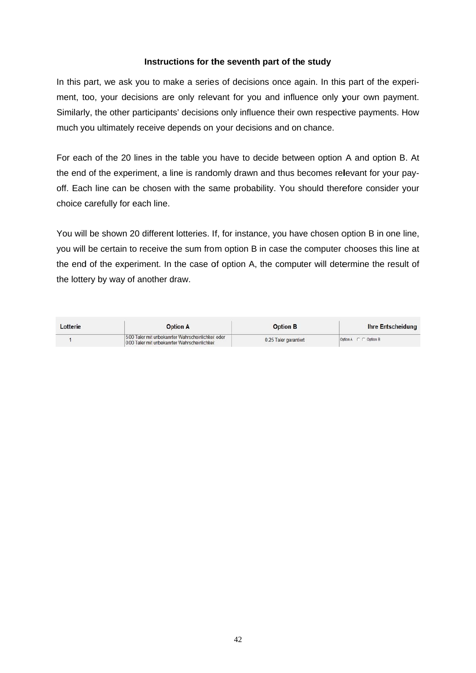#### Instructions for the seventh part of the study

In this part, we ask you to make a series of decisions once again. In this part of the experiment, too, your decisions are only relevant for you and influence only your own payment. Similarly, the other participants' decisions only influence their own respective payments. How much you ultimately receive depends on your decisions and on chance.

For each of the 20 lines in the table you have to decide between option A and option B. At the end of the experiment, a line is randomly drawn and thus becomes relevant for your payoff. Each line can be chosen with the same probability. You should therefore consider your choice carefully for each line.

You will be shown 20 different lotteries. If, for instance, you have chosen option B in one line, you will be certain to receive the sum from option B in case the computer chooses this line at the end of the experiment. In the case of option A, the computer will determine the result of the lottery by way of another draw.

| Lotterie | <b>Option A</b>                                                                                     | <b>Option B</b>       | <b>Ihre Entscheidung</b> |
|----------|-----------------------------------------------------------------------------------------------------|-----------------------|--------------------------|
|          | 5.00 Taler mit unbekannter Wahrscheinlichkeit oder<br>0.00 Taler mit unbekannter Wahrscheinlichkeit | 0.25 Taler garantiert | Option A C C Option B    |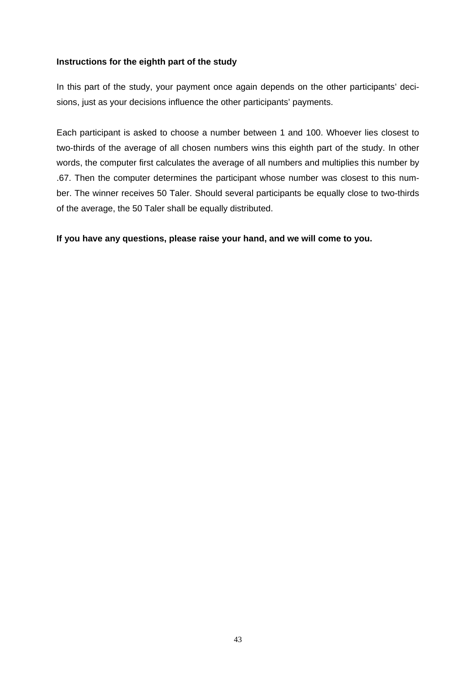#### **Instructions for the eighth part of the study**

In this part of the study, your payment once again depends on the other participants' decisions, just as your decisions influence the other participants' payments.

Each participant is asked to choose a number between 1 and 100. Whoever lies closest to two-thirds of the average of all chosen numbers wins this eighth part of the study. In other words, the computer first calculates the average of all numbers and multiplies this number by .67. Then the computer determines the participant whose number was closest to this number. The winner receives 50 Taler. Should several participants be equally close to two-thirds of the average, the 50 Taler shall be equally distributed.

**If you have any questions, please raise your hand, and we will come to you.**